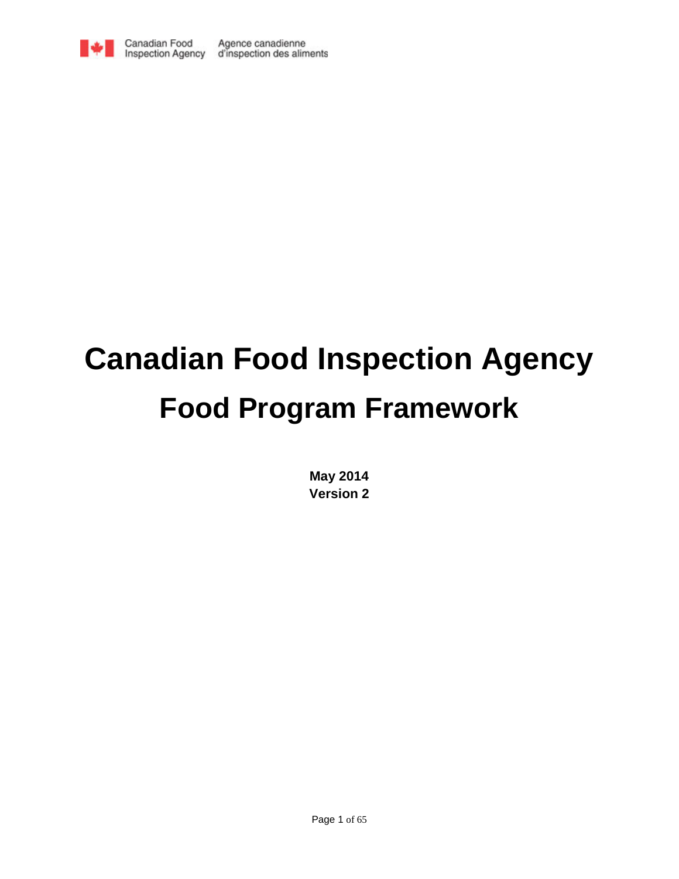

# **Canadian Food Inspection Agency Food Program Framework**

**May 2014 Version 2**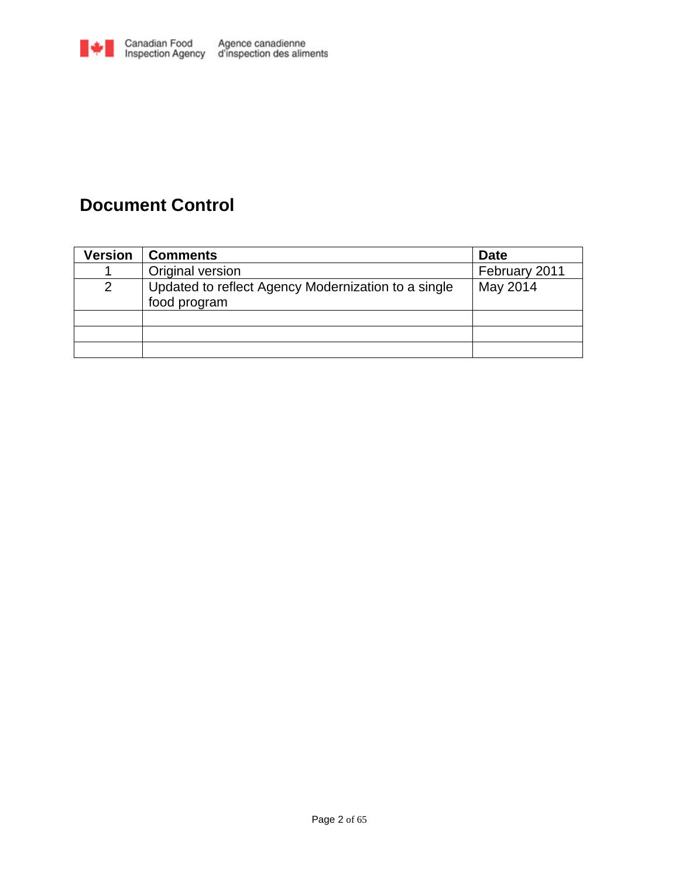

# **Document Control**

| <b>Version</b> | <b>Comments</b>                                                     | <b>Date</b>   |
|----------------|---------------------------------------------------------------------|---------------|
|                | Original version                                                    | February 2011 |
| 2              | Updated to reflect Agency Modernization to a single<br>food program | May 2014      |
|                |                                                                     |               |
|                |                                                                     |               |
|                |                                                                     |               |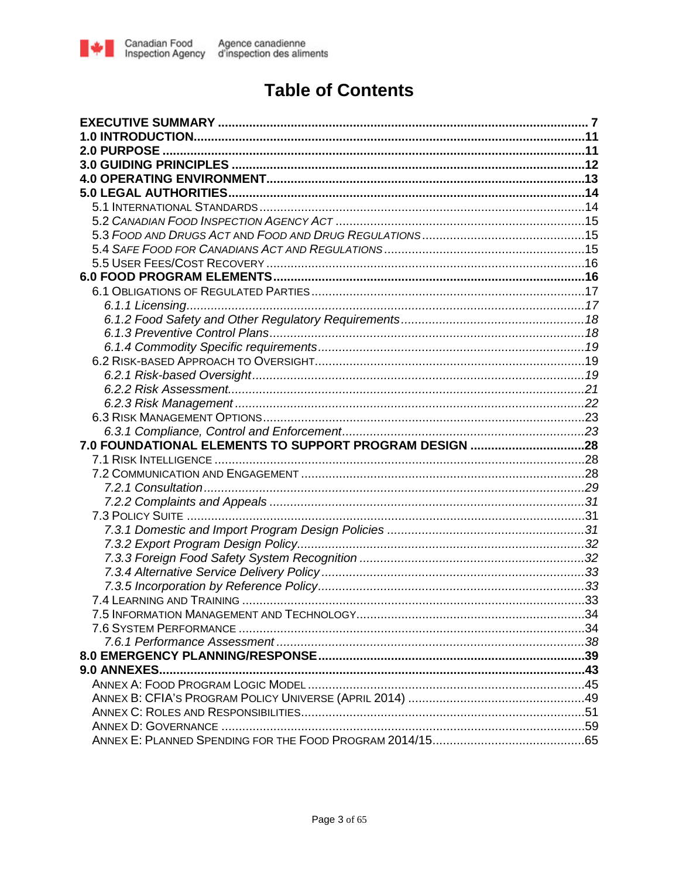

# **Table of Contents**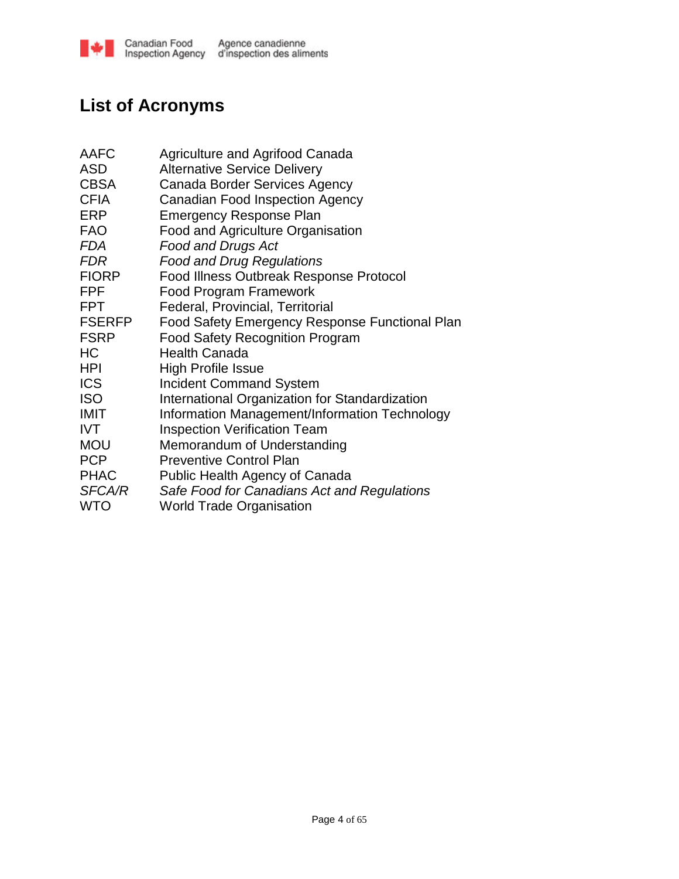

# **List of Acronyms**

| <b>AAFC</b>   | <b>Agriculture and Agrifood Canada</b>                |
|---------------|-------------------------------------------------------|
| <b>ASD</b>    | <b>Alternative Service Delivery</b>                   |
| <b>CBSA</b>   | Canada Border Services Agency                         |
| <b>CFIA</b>   | <b>Canadian Food Inspection Agency</b>                |
| ERP           | <b>Emergency Response Plan</b>                        |
| <b>FAO</b>    | Food and Agriculture Organisation                     |
| <b>FDA</b>    | <b>Food and Drugs Act</b>                             |
| <b>FDR</b>    | <b>Food and Drug Regulations</b>                      |
| <b>FIORP</b>  | Food Illness Outbreak Response Protocol               |
| <b>FPF</b>    | <b>Food Program Framework</b>                         |
| <b>FPT</b>    | Federal, Provincial, Territorial                      |
| <b>FSERFP</b> | <b>Food Safety Emergency Response Functional Plan</b> |
| <b>FSRP</b>   | <b>Food Safety Recognition Program</b>                |
| HC            | <b>Health Canada</b>                                  |
| <b>HPI</b>    | <b>High Profile Issue</b>                             |
| <b>ICS</b>    | <b>Incident Command System</b>                        |
| <b>ISO</b>    | International Organization for Standardization        |
| <b>IMIT</b>   | Information Management/Information Technology         |
| <b>IVT</b>    | <b>Inspection Verification Team</b>                   |
| <b>MOU</b>    | Memorandum of Understanding                           |
| <b>PCP</b>    | <b>Preventive Control Plan</b>                        |
| <b>PHAC</b>   | Public Health Agency of Canada                        |
| <b>SFCA/R</b> | Safe Food for Canadians Act and Regulations           |
| <b>WTO</b>    | <b>World Trade Organisation</b>                       |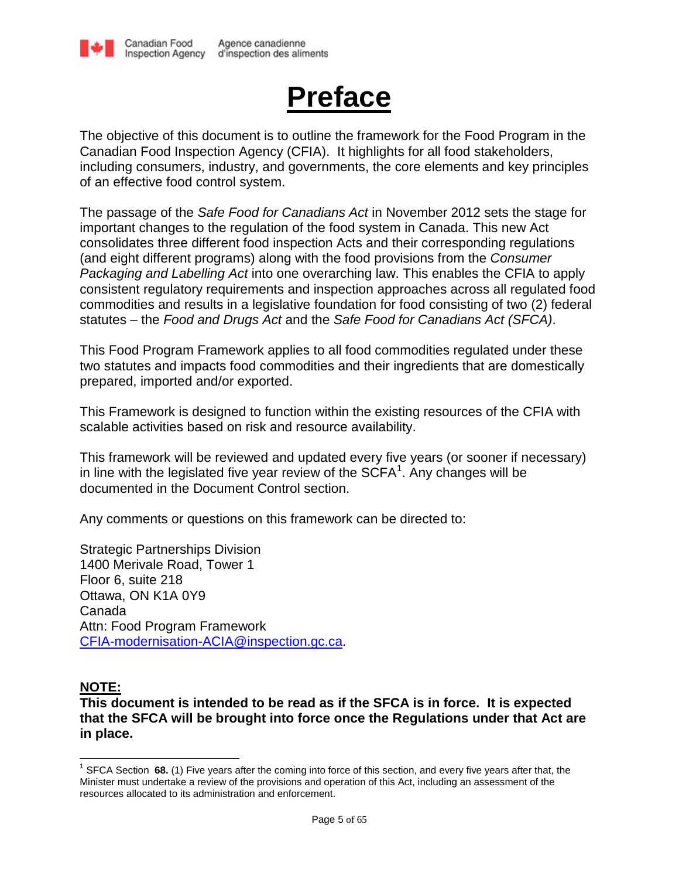

# **Preface**

The objective of this document is to outline the framework for the Food Program in the Canadian Food Inspection Agency (CFIA). It highlights for all food stakeholders, including consumers, industry, and governments, the core elements and key principles of an effective food control system.

The passage of the *Safe Food for Canadians Act* in November 2012 sets the stage for important changes to the regulation of the food system in Canada. This new Act consolidates three different food inspection Acts and their corresponding regulations (and eight different programs) along with the food provisions from the *Consumer Packaging and Labelling Act* into one overarching law. This enables the CFIA to apply consistent regulatory requirements and inspection approaches across all regulated food commodities and results in a legislative foundation for food consisting of two (2) federal statutes – the *Food and Drugs Act* and the *Safe Food for Canadians Act (SFCA)*.

This Food Program Framework applies to all food commodities regulated under these two statutes and impacts food commodities and their ingredients that are domestically prepared, imported and/or exported.

This Framework is designed to function within the existing resources of the CFIA with scalable activities based on risk and resource availability.

This framework will be reviewed and updated every five years (or sooner if necessary) in line with the legislated five year review of the SCFA<sup>[1](#page-4-0)</sup>. Any changes will be documented in the Document Control section.

Any comments or questions on this framework can be directed to:

Strategic Partnerships Division 1400 Merivale Road, Tower 1 Floor 6, suite 218 Ottawa, ON K1A 0Y9 Canada Attn: Food Program Framework [CFIA-modernisation-ACIA@inspection.gc.ca.](mailto:CFIA-modernisation-ACIA@inspection.gc.ca)

#### **NOTE:**

**This document is intended to be read as if the SFCA is in force. It is expected that the SFCA will be brought into force once the Regulations under that Act are in place.**

<span id="page-4-0"></span><sup>1</sup> SFCA Section **68.** (1) Five years after the coming into force of this section, and every five years after that, the Minister must undertake a review of the provisions and operation of this Act, including an assessment of the resources allocated to its administration and enforcement.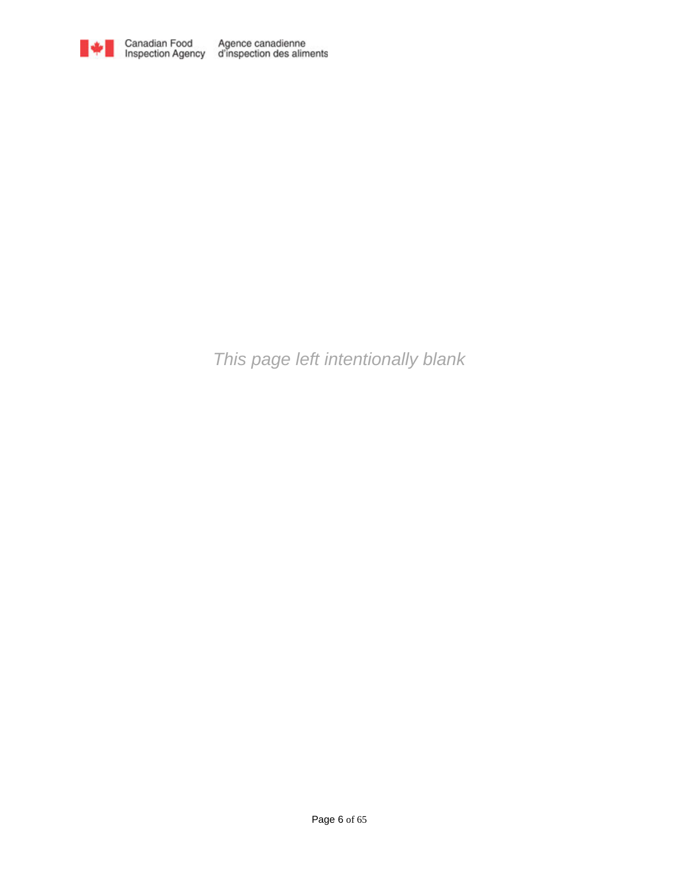

Canadian Food Agence canadienne<br>Inspection Agency d'inspection des aliments

*This page left intentionally blank*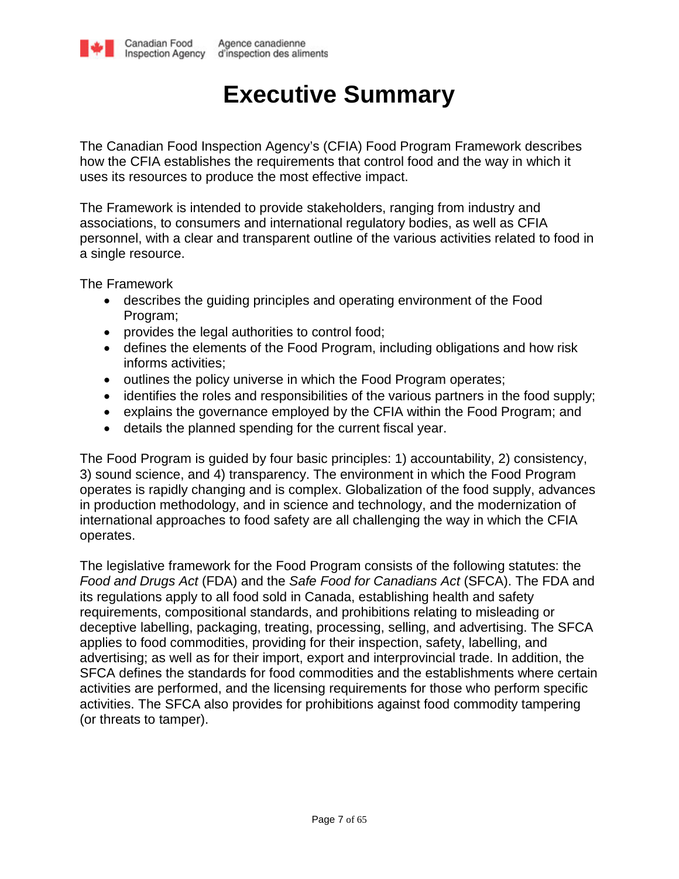<span id="page-6-0"></span>

Agence canadienne d'inspection des aliments

# **Executive Summary**

The Canadian Food Inspection Agency's (CFIA) Food Program Framework describes how the CFIA establishes the requirements that control food and the way in which it uses its resources to produce the most effective impact.

The Framework is intended to provide stakeholders, ranging from industry and associations, to consumers and international regulatory bodies, as well as CFIA personnel, with a clear and transparent outline of the various activities related to food in a single resource.

The Framework

- describes the guiding principles and operating environment of the Food Program;
- provides the legal authorities to control food;
- defines the elements of the Food Program, including obligations and how risk informs activities;
- outlines the policy universe in which the Food Program operates;
- identifies the roles and responsibilities of the various partners in the food supply;
- explains the governance employed by the CFIA within the Food Program; and
- details the planned spending for the current fiscal year.

The Food Program is guided by four basic principles: 1) accountability, 2) consistency, 3) sound science, and 4) transparency. The environment in which the Food Program operates is rapidly changing and is complex. Globalization of the food supply, advances in production methodology, and in science and technology, and the modernization of international approaches to food safety are all challenging the way in which the CFIA operates.

The legislative framework for the Food Program consists of the following statutes: the *Food and Drugs Act* (FDA) and the *Safe Food for Canadians Act* (SFCA). The FDA and its regulations apply to all food sold in Canada, establishing health and safety requirements, compositional standards, and prohibitions relating to misleading or deceptive labelling, packaging, treating, processing, selling, and advertising. The SFCA applies to food commodities, providing for their inspection, safety, labelling, and advertising; as well as for their import, export and interprovincial trade. In addition, the SFCA defines the standards for food commodities and the establishments where certain activities are performed, and the licensing requirements for those who perform specific activities. The SFCA also provides for prohibitions against food commodity tampering (or threats to tamper).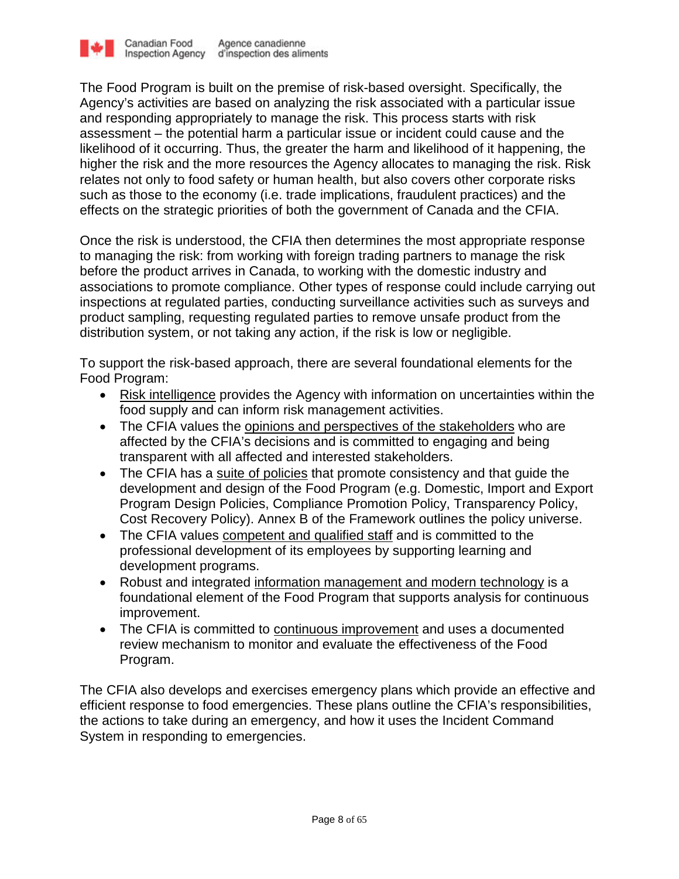

The Food Program is built on the premise of risk-based oversight. Specifically, the Agency's activities are based on analyzing the risk associated with a particular issue and responding appropriately to manage the risk. This process starts with risk assessment – the potential harm a particular issue or incident could cause and the likelihood of it occurring. Thus, the greater the harm and likelihood of it happening, the higher the risk and the more resources the Agency allocates to managing the risk. Risk relates not only to food safety or human health, but also covers other corporate risks such as those to the economy (i.e. trade implications, fraudulent practices) and the effects on the strategic priorities of both the government of Canada and the CFIA.

Once the risk is understood, the CFIA then determines the most appropriate response to managing the risk: from working with foreign trading partners to manage the risk before the product arrives in Canada, to working with the domestic industry and associations to promote compliance. Other types of response could include carrying out inspections at regulated parties, conducting surveillance activities such as surveys and product sampling, requesting regulated parties to remove unsafe product from the distribution system, or not taking any action, if the risk is low or negligible.

To support the risk-based approach, there are several foundational elements for the Food Program:

- Risk intelligence provides the Agency with information on uncertainties within the food supply and can inform risk management activities.
- The CFIA values the opinions and perspectives of the stakeholders who are affected by the CFIA's decisions and is committed to engaging and being transparent with all affected and interested stakeholders.
- The CFIA has a suite of policies that promote consistency and that guide the development and design of the Food Program (e.g. Domestic, Import and Export Program Design Policies, Compliance Promotion Policy, Transparency Policy, Cost Recovery Policy). Annex B of the Framework outlines the policy universe.
- The CFIA values competent and qualified staff and is committed to the professional development of its employees by supporting learning and development programs.
- Robust and integrated information management and modern technology is a foundational element of the Food Program that supports analysis for continuous improvement.
- The CFIA is committed to continuous improvement and uses a documented review mechanism to monitor and evaluate the effectiveness of the Food Program.

The CFIA also develops and exercises emergency plans which provide an effective and efficient response to food emergencies. These plans outline the CFIA's responsibilities, the actions to take during an emergency, and how it uses the Incident Command System in responding to emergencies.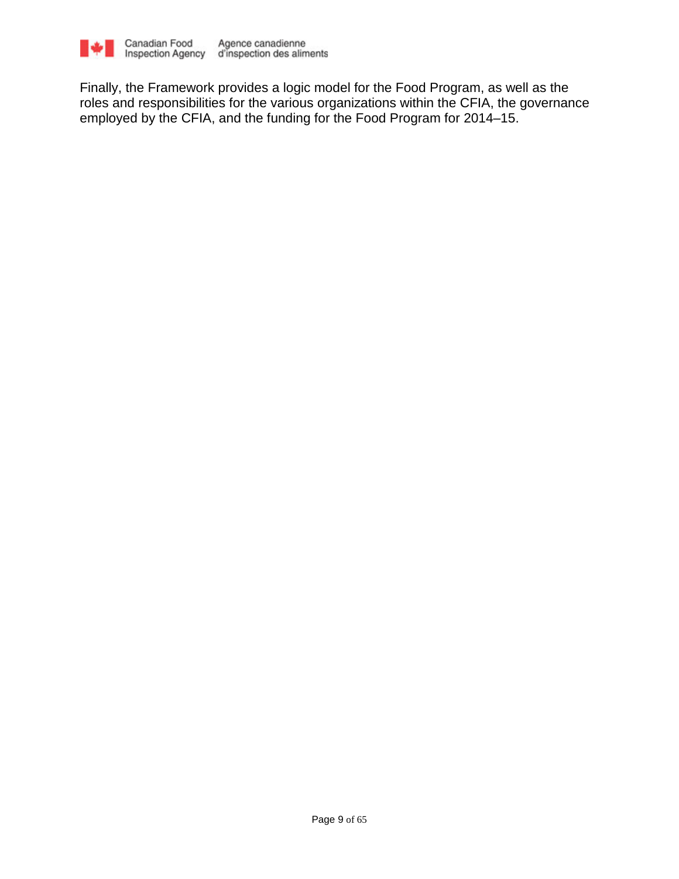

Finally, the Framework provides a logic model for the Food Program, as well as the roles and responsibilities for the various organizations within the CFIA, the governance employed by the CFIA, and the funding for the Food Program for 2014–15.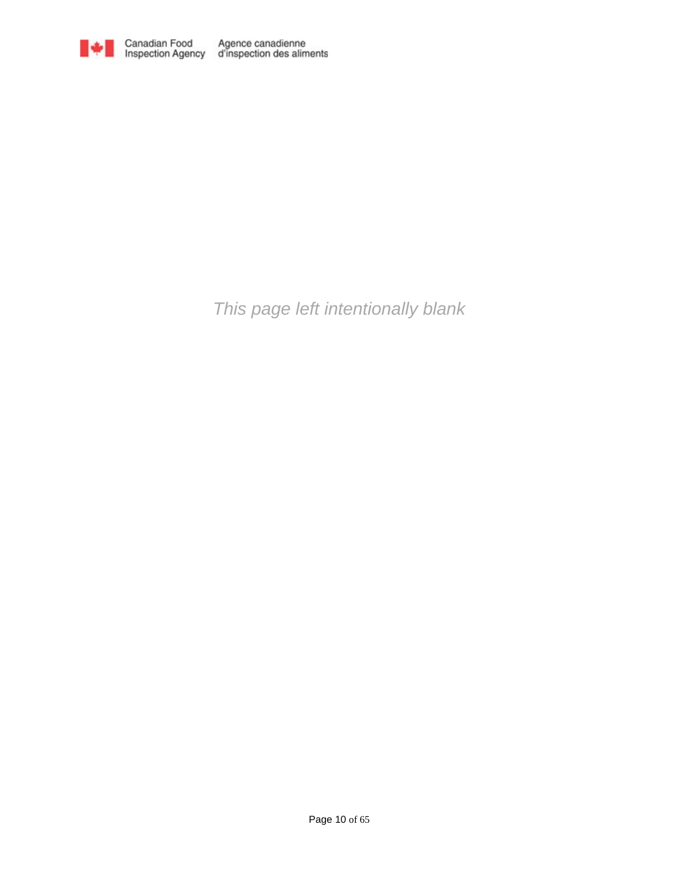

Canadian Food Agence canadienne<br>Inspection Agency d'inspection des aliments

*This page left intentionally blank*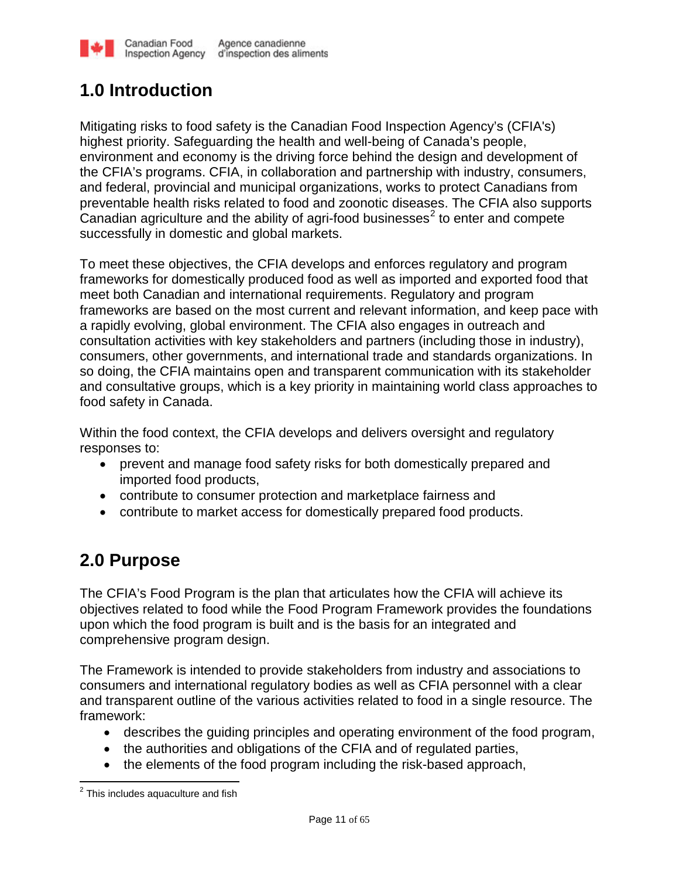

# <span id="page-10-0"></span>**1.0 Introduction**

Mitigating risks to food safety is the Canadian Food Inspection Agency's (CFIA's) highest priority. Safeguarding the health and well-being of Canada's people, environment and economy is the driving force behind the design and development of the CFIA's programs. CFIA, in collaboration and partnership with industry, consumers, and federal, provincial and municipal organizations, works to protect Canadians from preventable health risks related to food and zoonotic diseases. The CFIA also supports Canadian agriculture and the ability of agri-food businesses<sup>[2](#page-10-2)</sup> to enter and compete successfully in domestic and global markets.

To meet these objectives, the CFIA develops and enforces regulatory and program frameworks for domestically produced food as well as imported and exported food that meet both Canadian and international requirements. Regulatory and program frameworks are based on the most current and relevant information, and keep pace with a rapidly evolving, global environment. The CFIA also engages in outreach and consultation activities with key stakeholders and partners (including those in industry), consumers, other governments, and international trade and standards organizations. In so doing, the CFIA maintains open and transparent communication with its stakeholder and consultative groups, which is a key priority in maintaining world class approaches to food safety in Canada.

Within the food context, the CFIA develops and delivers oversight and regulatory responses to:

- prevent and manage food safety risks for both domestically prepared and imported food products,
- contribute to consumer protection and marketplace fairness and
- contribute to market access for domestically prepared food products.

# <span id="page-10-1"></span>**2.0 Purpose**

The CFIA's Food Program is the plan that articulates how the CFIA will achieve its objectives related to food while the Food Program Framework provides the foundations upon which the food program is built and is the basis for an integrated and comprehensive program design.

The Framework is intended to provide stakeholders from industry and associations to consumers and international regulatory bodies as well as CFIA personnel with a clear and transparent outline of the various activities related to food in a single resource. The framework:

- describes the guiding principles and operating environment of the food program,
- the authorities and obligations of the CFIA and of regulated parties,
- the elements of the food program including the risk-based approach,

<span id="page-10-2"></span> $2$  This includes aquaculture and fish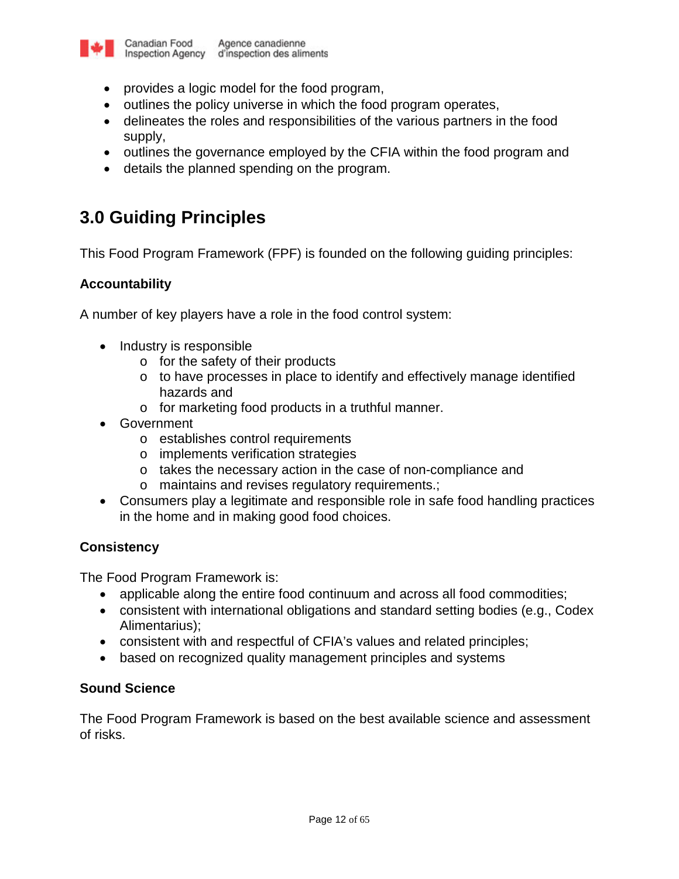

- provides a logic model for the food program,
- outlines the policy universe in which the food program operates,
- delineates the roles and responsibilities of the various partners in the food supply,
- outlines the governance employed by the CFIA within the food program and
- details the planned spending on the program.

# <span id="page-11-0"></span>**3.0 Guiding Principles**

This Food Program Framework (FPF) is founded on the following guiding principles:

#### **Accountability**

A number of key players have a role in the food control system:

- Industry is responsible
	- $\circ$  for the safety of their products
	- $\circ$  to have processes in place to identify and effectively manage identified hazards and
	- o for marketing food products in a truthful manner.
- Government
	- o establishes control requirements
	- o implements verification strategies
	- o takes the necessary action in the case of non-compliance and
	- o maintains and revises regulatory requirements.;
- Consumers play a legitimate and responsible role in safe food handling practices in the home and in making good food choices.

#### **Consistency**

The Food Program Framework is:

- applicable along the entire food continuum and across all food commodities;
- consistent with international obligations and standard setting bodies (e.g., Codex Alimentarius);
- consistent with and respectful of CFIA's values and related principles;
- based on recognized quality management principles and systems

#### **Sound Science**

The Food Program Framework is based on the best available science and assessment of risks.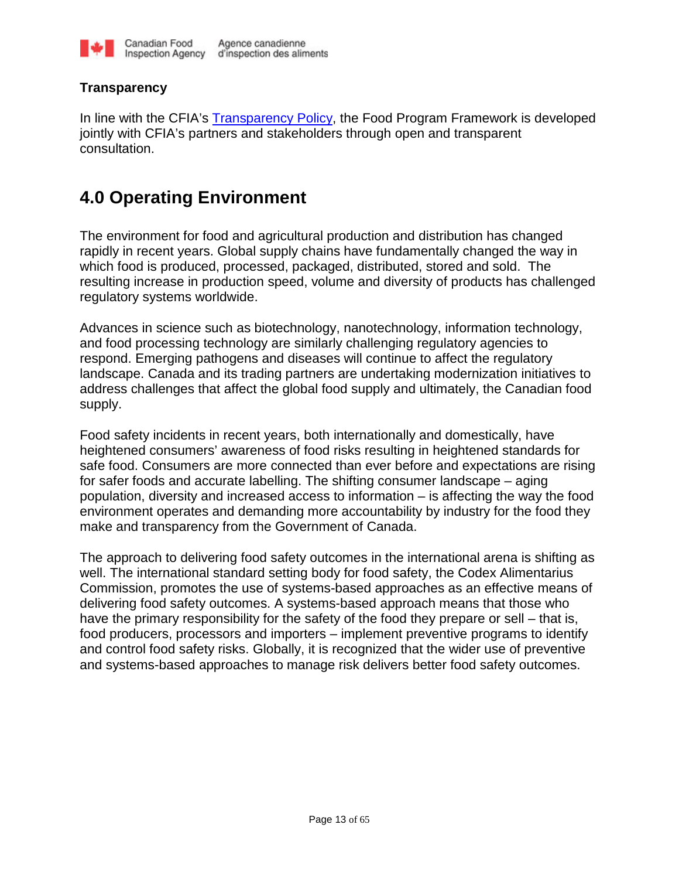

#### **Transparency**

In line with the CFIA's [Transparency Policy,](http://www.inspection.gc.ca/about-the-cfia/accountability/transparency-in-regulatory-decision-making/eng/1363183662938/1363185978804) the Food Program Framework is developed jointly with CFIA's partners and stakeholders through open and transparent consultation.

# <span id="page-12-0"></span>**4.0 Operating Environment**

The environment for food and agricultural production and distribution has changed rapidly in recent years. Global supply chains have fundamentally changed the way in which food is produced, processed, packaged, distributed, stored and sold. The resulting increase in production speed, volume and diversity of products has challenged regulatory systems worldwide.

Advances in science such as biotechnology, nanotechnology, information technology, and food processing technology are similarly challenging regulatory agencies to respond. Emerging pathogens and diseases will continue to affect the regulatory landscape. Canada and its trading partners are undertaking modernization initiatives to address challenges that affect the global food supply and ultimately, the Canadian food supply.

Food safety incidents in recent years, both internationally and domestically, have heightened consumers' awareness of food risks resulting in heightened standards for safe food. Consumers are more connected than ever before and expectations are rising for safer foods and accurate labelling. The shifting consumer landscape – aging population, diversity and increased access to information – is affecting the way the food environment operates and demanding more accountability by industry for the food they make and transparency from the Government of Canada.

The approach to delivering food safety outcomes in the international arena is shifting as well. The international standard setting body for food safety, the Codex Alimentarius Commission, promotes the use of systems-based approaches as an effective means of delivering food safety outcomes. A systems-based approach means that those who have the primary responsibility for the safety of the food they prepare or sell – that is, food producers, processors and importers – implement preventive programs to identify and control food safety risks. Globally, it is recognized that the wider use of preventive and systems-based approaches to manage risk delivers better food safety outcomes.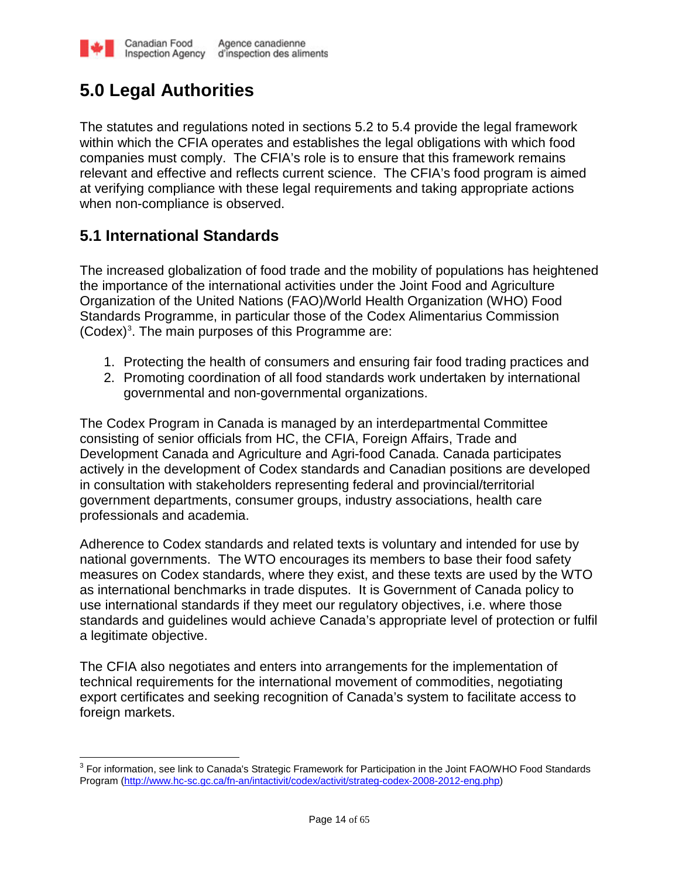

# <span id="page-13-0"></span>**5.0 Legal Authorities**

The statutes and regulations noted in sections 5.2 to 5.4 provide the legal framework within which the CFIA operates and establishes the legal obligations with which food companies must comply. The CFIA's role is to ensure that this framework remains relevant and effective and reflects current science. The CFIA's food program is aimed at verifying compliance with these legal requirements and taking appropriate actions when non-compliance is observed.

### <span id="page-13-1"></span>**5.1 International Standards**

The increased globalization of food trade and the mobility of populations has heightened the importance of the international activities under the Joint Food and Agriculture Organization of the United Nations (FAO)/World Health Organization (WHO) Food Standards Programme, in particular those of the Codex Alimentarius Commission  $($ Codex $)^3$  $)^3$ . The main purposes of this Programme are:

- 1. Protecting the health of consumers and ensuring fair food trading practices and
- 2. Promoting coordination of all food standards work undertaken by international governmental and non-governmental organizations.

The Codex Program in Canada is managed by an interdepartmental Committee consisting of senior officials from HC, the CFIA, Foreign Affairs, Trade and Development Canada and Agriculture and Agri-food Canada. Canada participates actively in the development of Codex standards and Canadian positions are developed in consultation with stakeholders representing federal and provincial/territorial government departments, consumer groups, industry associations, health care professionals and academia.

Adherence to Codex standards and related texts is voluntary and intended for use by national governments. The WTO encourages its members to base their food safety measures on Codex standards, where they exist, and these texts are used by the WTO as international benchmarks in trade disputes. It is Government of Canada policy to use international standards if they meet our regulatory objectives, i.e. where those standards and guidelines would achieve Canada's appropriate level of protection or fulfil a legitimate objective.

The CFIA also negotiates and enters into arrangements for the implementation of technical requirements for the international movement of commodities, negotiating export certificates and seeking recognition of Canada's system to facilitate access to foreign markets.

<span id="page-13-2"></span><sup>&</sup>lt;sup>3</sup> For information, see link to Canada's Strategic Framework for Participation in the Joint FAO/WHO Food Standards Program [\(http://www.hc-sc.gc.ca/fn-an/intactivit/codex/activit/strateg-codex-2008-2012-eng.php\)](http://www.hc-sc.gc.ca/fn-an/intactivit/codex/activit/strateg-codex-2008-2012-eng.php)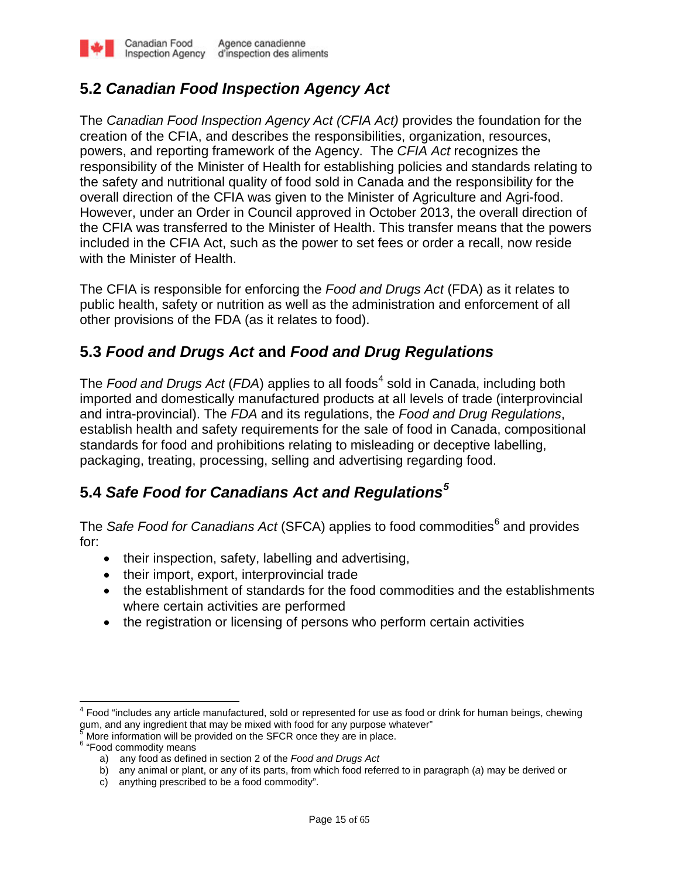

## <span id="page-14-0"></span>**5.2** *Canadian Food Inspection Agency Act*

The *Canadian Food Inspection Agency Act (CFIA Act)* provides the foundation for the creation of the CFIA, and describes the responsibilities, organization, resources, powers, and reporting framework of the Agency. The *CFIA Act* recognizes the responsibility of the Minister of Health for establishing policies and standards relating to the safety and nutritional quality of food sold in Canada and the responsibility for the overall direction of the CFIA was given to the Minister of Agriculture and Agri-food. However, under an Order in Council approved in October 2013, the overall direction of the CFIA was transferred to the Minister of Health. This transfer means that the powers included in the CFIA Act, such as the power to set fees or order a recall, now reside with the Minister of Health.

The CFIA is responsible for enforcing the *Food and Drugs Act* (FDA) as it relates to public health, safety or nutrition as well as the administration and enforcement of all other provisions of the FDA (as it relates to food).

## <span id="page-14-1"></span>**5.3** *Food and Drugs Act* **and** *Food and Drug Regulations*

The *Food and Drugs Act* (*FDA*) applies to all foods<sup>[4](#page-14-3)</sup> sold in Canada, including both imported and domestically manufactured products at all levels of trade (interprovincial and intra-provincial). The *FDA* and its regulations, the *Food and Drug Regulations*, establish health and safety requirements for the sale of food in Canada, compositional standards for food and prohibitions relating to misleading or deceptive labelling, packaging, treating, processing, selling and advertising regarding food.

# <span id="page-14-2"></span>**5.4** *Safe Food for Canadians Act and Regulations[5](#page-14-4)*

The *Safe Food for Canadians Act* (SFCA) applies to food commodities<sup>[6](#page-14-5)</sup> and provides for:

- their inspection, safety, labelling and advertising,
- their import, export, interprovincial trade
- the establishment of standards for the food commodities and the establishments where certain activities are performed
- the registration or licensing of persons who perform certain activities

<span id="page-14-3"></span><sup>&</sup>lt;sup>4</sup> Food "includes any article manufactured, sold or represented for use as food or drink for human beings, chewing gum, and any ingredient that may be mixed with food for any purpose whatever"

<span id="page-14-5"></span><span id="page-14-4"></span> $<sup>5</sup>$  More information will be provided on the SFCR once they are in place.<br> $<sup>6</sup>$  "Food commodity means</sup></sup>

a) any food as defined in section 2 of the *Food and Drugs Act*

b) any animal or plant, or any of its parts, from which food referred to in paragraph (*a*) may be derived or

c) anything prescribed to be a food commodity".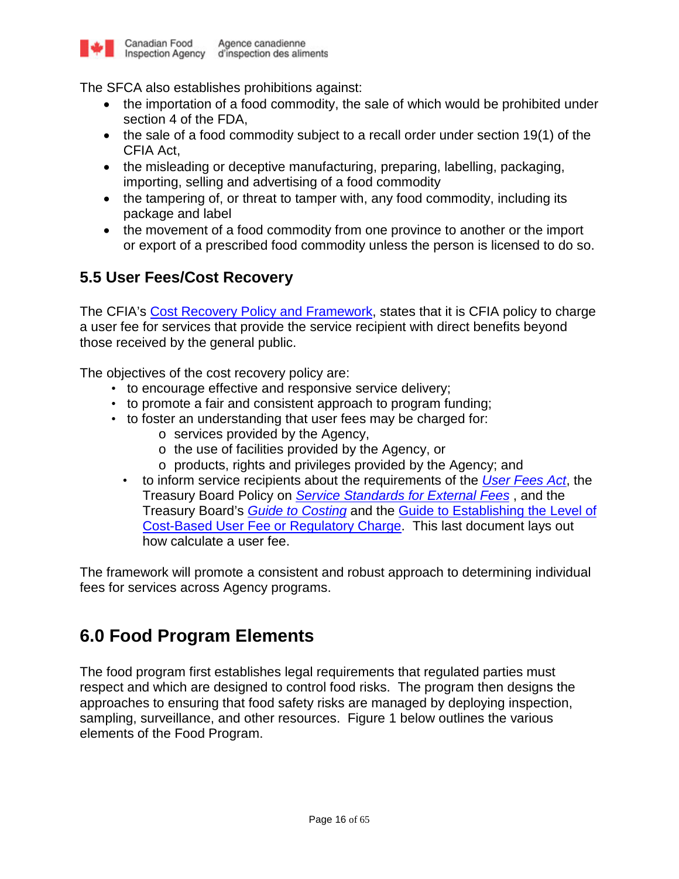

The SFCA also establishes prohibitions against:

- the importation of a food commodity, the sale of which would be prohibited under section 4 of the FDA,
- the sale of a food commodity subject to a recall order under section 19(1) of the CFIA Act,
- the misleading or deceptive manufacturing, preparing, labelling, packaging, importing, selling and advertising of a food commodity
- the tampering of, or threat to tamper with, any food commodity, including its package and label
- the movement of a food commodity from one province to another or the import or export of a prescribed food commodity unless the person is licensed to do so.

# <span id="page-15-0"></span>**5.5 User Fees/Cost Recovery**

The CFIA's [Cost Recovery Policy and Framework,](http://www.inspection.gc.ca/about-the-cfia/accountability/other-activities/sound-agency-management/service-standards-and-user-fees/cost-recovery-policy/eng/1378073377319/1378073471053) states that it is CFIA policy to charge a user fee for services that provide the service recipient with direct benefits beyond those received by the general public.

The objectives of the cost recovery policy are:

- to encourage effective and responsive service delivery;
- to promote a fair and consistent approach to program funding;
- to foster an understanding that user fees may be charged for:
	- o services provided by the Agency,
	- o the use of facilities provided by the Agency, or
	- o products, rights and privileges provided by the Agency; and
	- to inform service recipients about the requirements of the *[User Fees Act](http://laws-lois.justice.gc.ca/eng/acts/U-3.7/)*, the Treasury Board Policy on *[Service Standards for External Fees](http://www.tbs-sct.gc.ca/pol/doc-eng.aspx?section=text&id=12236)* , and the Treasury Board's *[Guide to Costing](http://www.tbs-sct.gc.ca/pol/doc-eng.aspx?section=text&id=12251)* and the [Guide to Establishing the Level of](https://www.tbs-sct.gc.ca/fm-gf/ktopics-dossiersc/fms-sgf/costing-couts/cost-couts-eng.asp)  [Cost-Based User Fee or Regulatory Charge.](https://www.tbs-sct.gc.ca/fm-gf/ktopics-dossiersc/fms-sgf/costing-couts/cost-couts-eng.asp) This last document lays out how calculate a user fee.

The framework will promote a consistent and robust approach to determining individual fees for services across Agency programs.

# <span id="page-15-1"></span>**6.0 Food Program Elements**

The food program first establishes legal requirements that regulated parties must respect and which are designed to control food risks. The program then designs the approaches to ensuring that food safety risks are managed by deploying inspection, sampling, surveillance, and other resources. Figure 1 below outlines the various elements of the Food Program.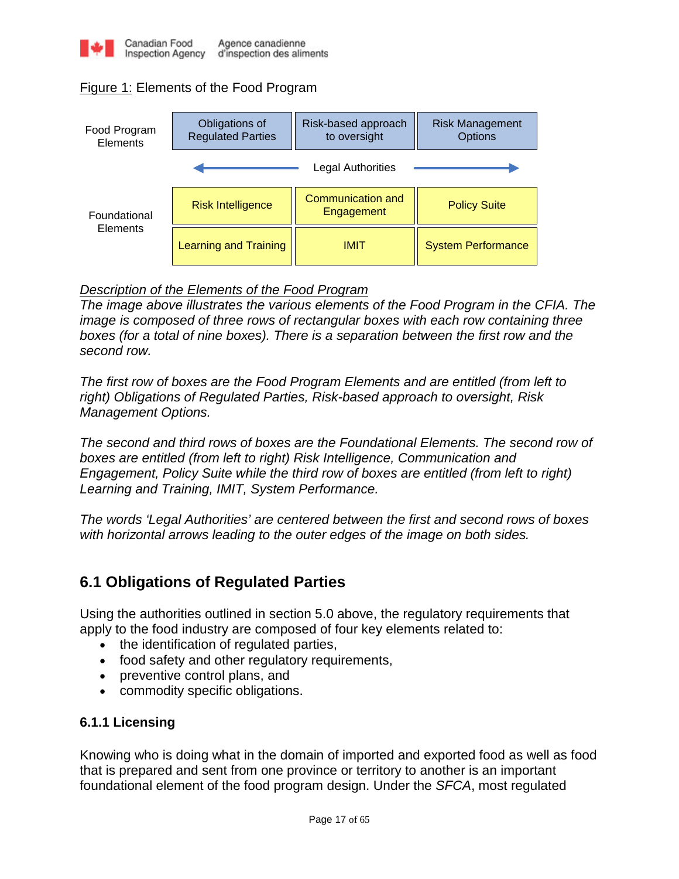

#### Figure 1: Elements of the Food Program



#### *Description of the Elements of the Food Program*

*The image above illustrates the various elements of the Food Program in the CFIA. The image is composed of three rows of rectangular boxes with each row containing three boxes (for a total of nine boxes). There is a separation between the first row and the second row.*

*The first row of boxes are the Food Program Elements and are entitled (from left to right) Obligations of Regulated Parties, Risk-based approach to oversight, Risk Management Options.*

*The second and third rows of boxes are the Foundational Elements. The second row of boxes are entitled (from left to right) Risk Intelligence, Communication and Engagement, Policy Suite while the third row of boxes are entitled (from left to right) Learning and Training, IMIT, System Performance.*

*The words 'Legal Authorities' are centered between the first and second rows of boxes with horizontal arrows leading to the outer edges of the image on both sides.*

## <span id="page-16-0"></span>**6.1 Obligations of Regulated Parties**

Using the authorities outlined in section 5.0 above, the regulatory requirements that apply to the food industry are composed of four key elements related to:

- the identification of regulated parties,
- food safety and other regulatory requirements,
- preventive control plans, and
- commodity specific obligations.

#### <span id="page-16-1"></span>**6.1.1 Licensing**

Knowing who is doing what in the domain of imported and exported food as well as food that is prepared and sent from one province or territory to another is an important foundational element of the food program design. Under the *SFCA*, most regulated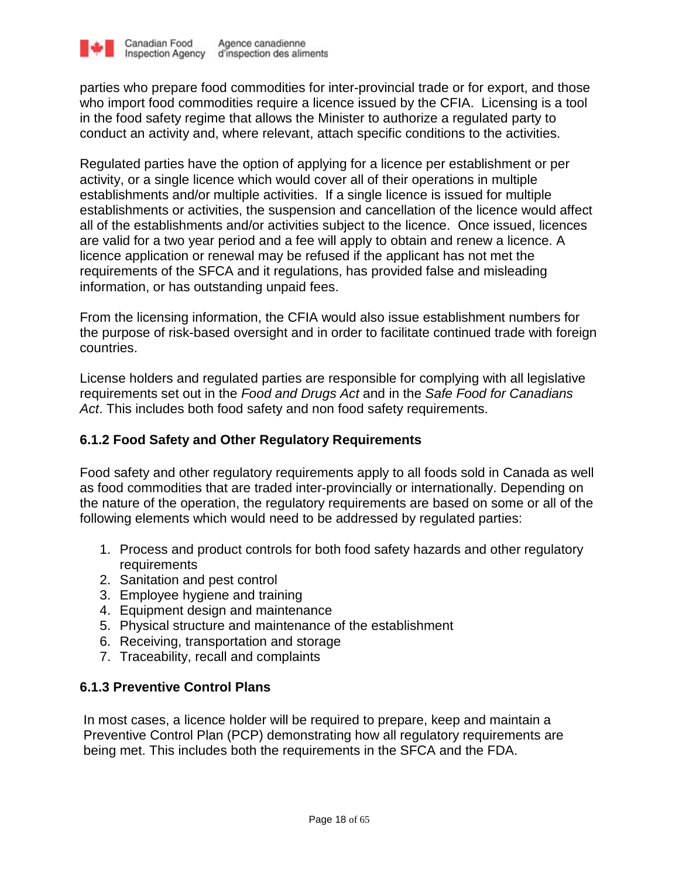

parties who prepare food commodities for inter-provincial trade or for export, and those who import food commodities require a licence issued by the CFIA. Licensing is a tool in the food safety regime that allows the Minister to authorize a regulated party to conduct an activity and, where relevant, attach specific conditions to the activities.

Regulated parties have the option of applying for a licence per establishment or per activity, or a single licence which would cover all of their operations in multiple establishments and/or multiple activities. If a single licence is issued for multiple establishments or activities, the suspension and cancellation of the licence would affect all of the establishments and/or activities subject to the licence. Once issued, licences are valid for a two year period and a fee will apply to obtain and renew a licence. A licence application or renewal may be refused if the applicant has not met the requirements of the SFCA and it regulations, has provided false and misleading information, or has outstanding unpaid fees.

From the licensing information, the CFIA would also issue establishment numbers for the purpose of risk-based oversight and in order to facilitate continued trade with foreign countries.

License holders and regulated parties are responsible for complying with all legislative requirements set out in the *Food and Drugs Act* and in the *Safe Food for Canadians Act*. This includes both food safety and non food safety requirements.

#### <span id="page-17-0"></span>**6.1.2 Food Safety and Other Regulatory Requirements**

Food safety and other regulatory requirements apply to all foods sold in Canada as well as food commodities that are traded inter-provincially or internationally. Depending on the nature of the operation, the regulatory requirements are based on some or all of the following elements which would need to be addressed by regulated parties:

- 1. Process and product controls for both food safety hazards and other regulatory requirements
- 2. Sanitation and pest control
- 3. Employee hygiene and training
- 4. Equipment design and maintenance
- 5. Physical structure and maintenance of the establishment
- 6. Receiving, transportation and storage
- 7. Traceability, recall and complaints

#### <span id="page-17-1"></span>**6.1.3 Preventive Control Plans**

In most cases, a licence holder will be required to prepare, keep and maintain a Preventive Control Plan (PCP) demonstrating how all regulatory requirements are being met. This includes both the requirements in the SFCA and the FDA.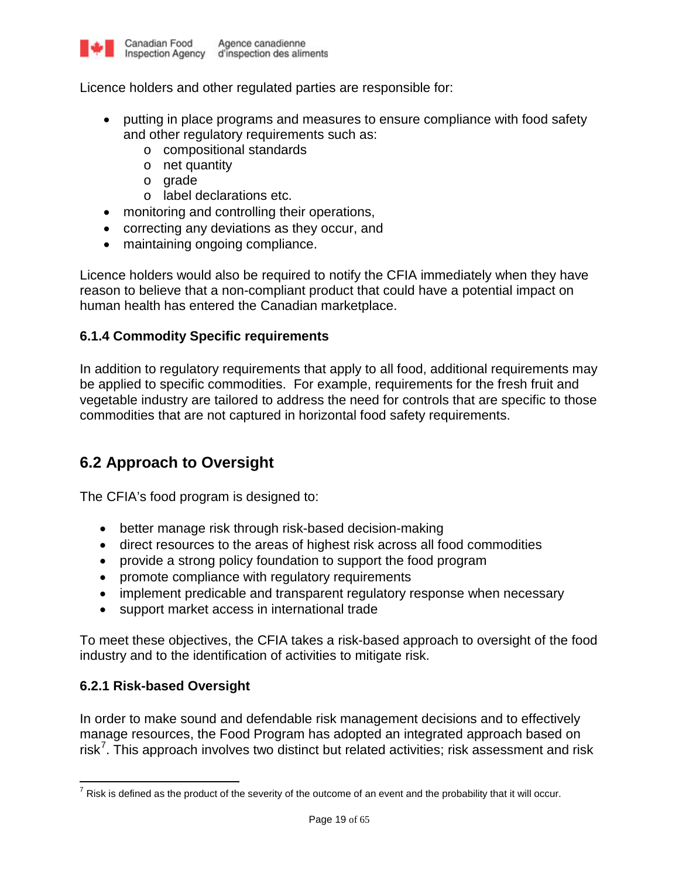

Licence holders and other regulated parties are responsible for:

- putting in place programs and measures to ensure compliance with food safety and other regulatory requirements such as:
	- o compositional standards
	- o net quantity
	- o grade
	- o label declarations etc.
- monitoring and controlling their operations,
- correcting any deviations as they occur, and
- maintaining ongoing compliance.

Licence holders would also be required to notify the CFIA immediately when they have reason to believe that a non-compliant product that could have a potential impact on human health has entered the Canadian marketplace.

#### <span id="page-18-0"></span>**6.1.4 Commodity Specific requirements**

In addition to regulatory requirements that apply to all food, additional requirements may be applied to specific commodities. For example, requirements for the fresh fruit and vegetable industry are tailored to address the need for controls that are specific to those commodities that are not captured in horizontal food safety requirements.

## <span id="page-18-1"></span>**6.2 Approach to Oversight**

The CFIA's food program is designed to:

- better manage risk through risk-based decision-making
- direct resources to the areas of highest risk across all food commodities
- provide a strong policy foundation to support the food program
- promote compliance with regulatory requirements
- implement predicable and transparent regulatory response when necessary
- support market access in international trade

To meet these objectives, the CFIA takes a risk-based approach to oversight of the food industry and to the identification of activities to mitigate risk.

#### <span id="page-18-2"></span>**6.2.1 Risk-based Oversight**

In order to make sound and defendable risk management decisions and to effectively manage resources, the Food Program has adopted an integrated approach based on risk<sup>[7](#page-18-3)</sup>. This approach involves two distinct but related activities; risk assessment and risk

<span id="page-18-3"></span> $<sup>7</sup>$  Risk is defined as the product of the severity of the outcome of an event and the probability that it will occur.</sup>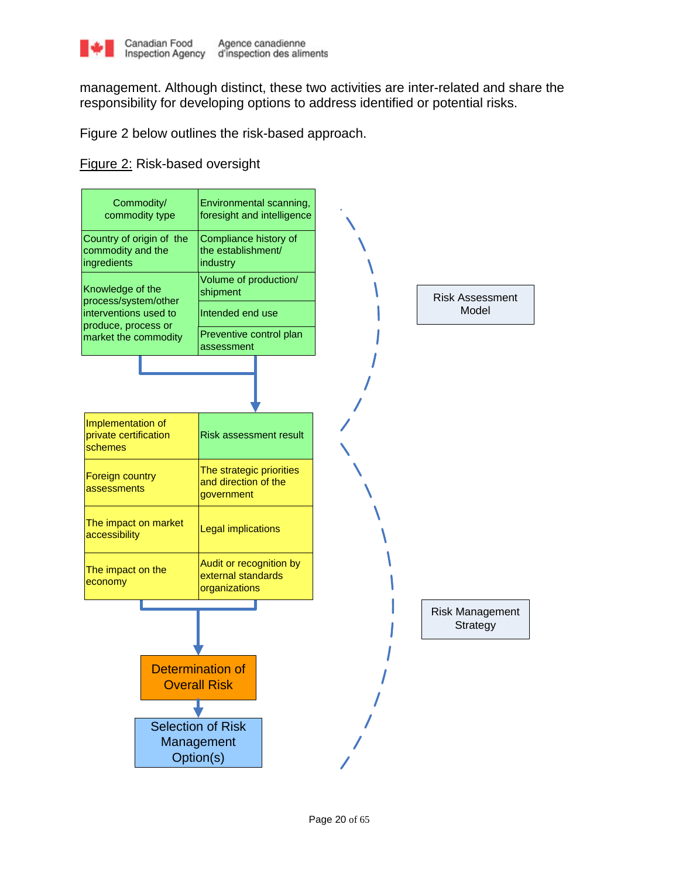

management. Although distinct, these two activities are inter-related and share the responsibility for developing options to address identified or potential risks.

Figure 2 below outlines the risk-based approach.

Figure 2: Risk-based oversight

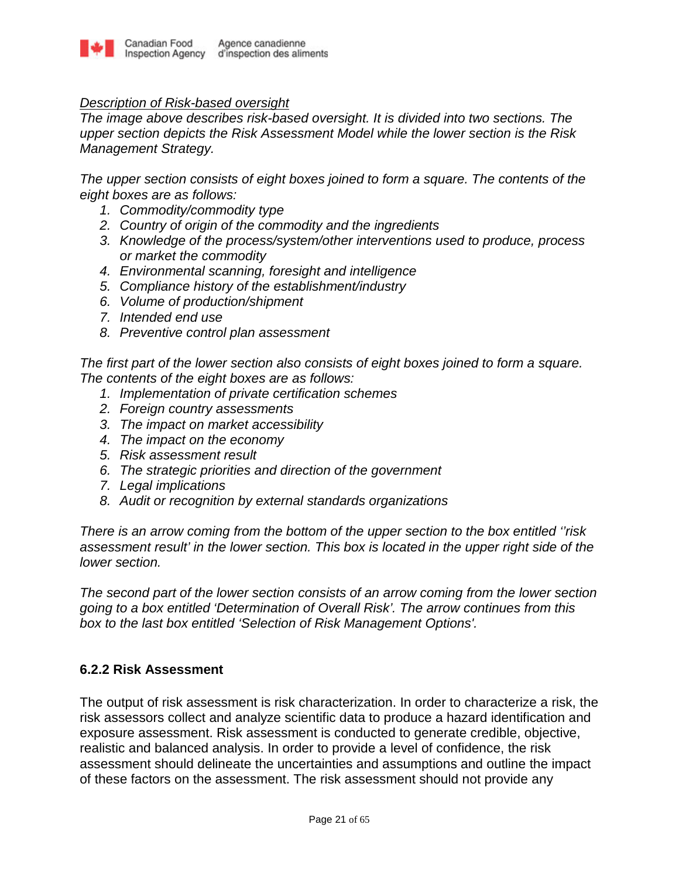

#### *Description of Risk-based oversight*

*The image above describes risk-based oversight. It is divided into two sections. The upper section depicts the Risk Assessment Model while the lower section is the Risk Management Strategy.*

*The upper section consists of eight boxes joined to form a square. The contents of the eight boxes are as follows:*

- *1. Commodity/commodity type*
- *2. Country of origin of the commodity and the ingredients*
- *3. Knowledge of the process/system/other interventions used to produce, process or market the commodity*
- *4. Environmental scanning, foresight and intelligence*
- *5. Compliance history of the establishment/industry*
- *6. Volume of production/shipment*
- *7. Intended end use*
- *8. Preventive control plan assessment*

*The first part of the lower section also consists of eight boxes joined to form a square. The contents of the eight boxes are as follows:*

- *1. Implementation of private certification schemes*
- *2. Foreign country assessments*
- *3. The impact on market accessibility*
- *4. The impact on the economy*
- *5. Risk assessment result*
- *6. The strategic priorities and direction of the government*
- *7. Legal implications*
- *8. Audit or recognition by external standards organizations*

*There is an arrow coming from the bottom of the upper section to the box entitled ''risk assessment result' in the lower section. This box is located in the upper right side of the lower section.*

*The second part of the lower section consists of an arrow coming from the lower section going to a box entitled 'Determination of Overall Risk'. The arrow continues from this box to the last box entitled 'Selection of Risk Management Options'.*

#### <span id="page-20-0"></span>**6.2.2 Risk Assessment**

The output of risk assessment is risk characterization. In order to characterize a risk, the risk assessors collect and analyze scientific data to produce a hazard identification and exposure assessment. Risk assessment is conducted to generate credible, objective, realistic and balanced analysis. In order to provide a level of confidence, the risk assessment should delineate the uncertainties and assumptions and outline the impact of these factors on the assessment. The risk assessment should not provide any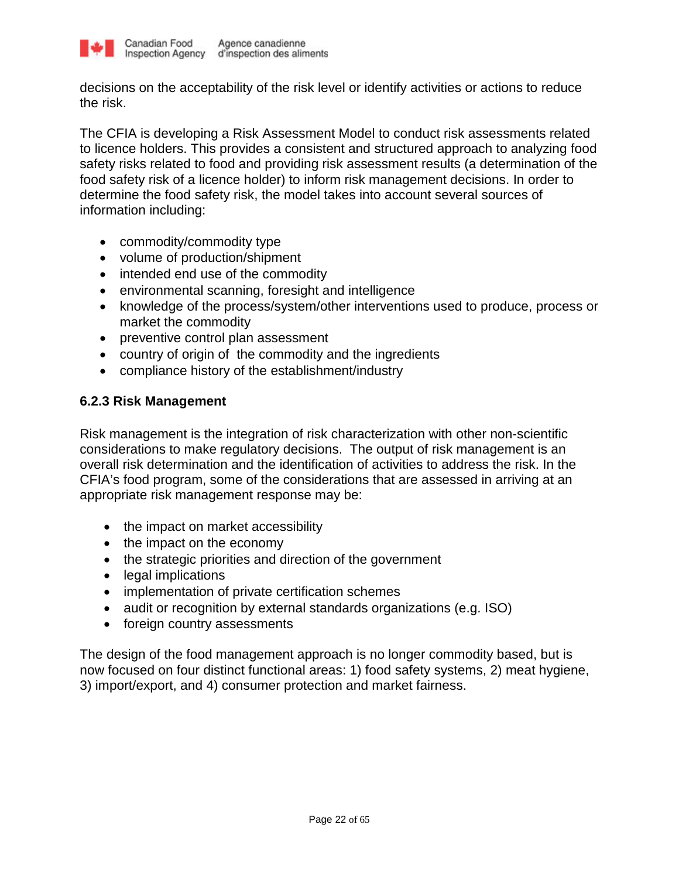

decisions on the acceptability of the risk level or identify activities or actions to reduce the risk.

The CFIA is developing a Risk Assessment Model to conduct risk assessments related to licence holders. This provides a consistent and structured approach to analyzing food safety risks related to food and providing risk assessment results (a determination of the food safety risk of a licence holder) to inform risk management decisions. In order to determine the food safety risk, the model takes into account several sources of information including:

- commodity/commodity type
- volume of production/shipment
- intended end use of the commodity
- environmental scanning, foresight and intelligence
- knowledge of the process/system/other interventions used to produce, process or market the commodity
- preventive control plan assessment
- country of origin of the commodity and the ingredients
- compliance history of the establishment/industry

#### <span id="page-21-0"></span>**6.2.3 Risk Management**

Risk management is the integration of risk characterization with other non-scientific considerations to make regulatory decisions. The output of risk management is an overall risk determination and the identification of activities to address the risk. In the CFIA's food program, some of the considerations that are assessed in arriving at an appropriate risk management response may be:

- the impact on market accessibility
- the impact on the economy
- the strategic priorities and direction of the government
- legal implications
- implementation of private certification schemes
- audit or recognition by external standards organizations (e.g. ISO)
- foreign country assessments

The design of the food management approach is no longer commodity based, but is now focused on four distinct functional areas: 1) food safety systems, 2) meat hygiene, 3) import/export, and 4) consumer protection and market fairness.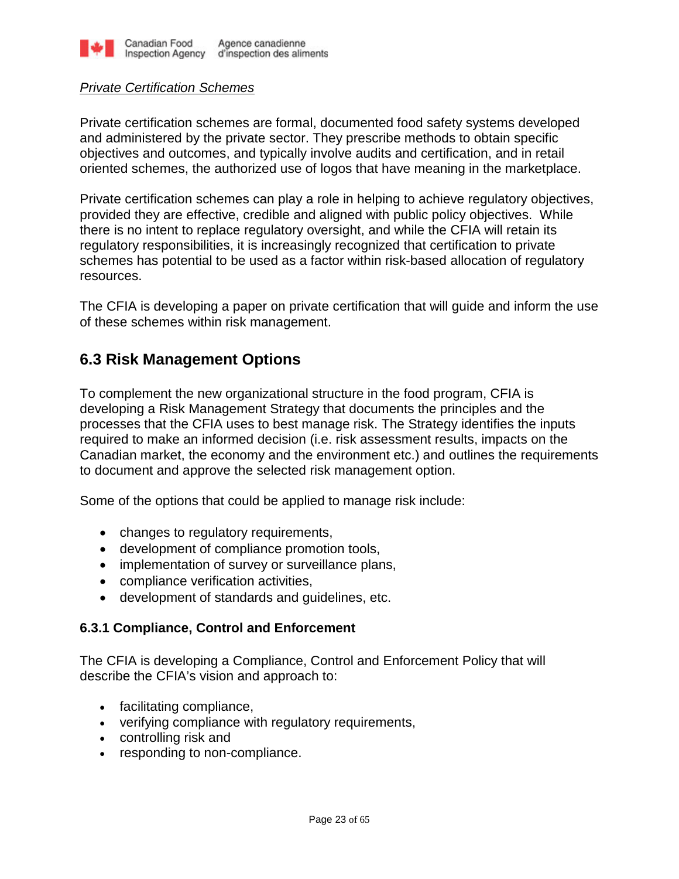

#### *Private Certification Schemes*

Private certification schemes are formal, documented food safety systems developed and administered by the private sector. They prescribe methods to obtain specific objectives and outcomes, and typically involve audits and certification, and in retail oriented schemes, the authorized use of logos that have meaning in the marketplace.

Private certification schemes can play a role in helping to achieve regulatory objectives, provided they are effective, credible and aligned with public policy objectives. While there is no intent to replace regulatory oversight, and while the CFIA will retain its regulatory responsibilities, it is increasingly recognized that certification to private schemes has potential to be used as a factor within risk-based allocation of regulatory resources.

The CFIA is developing a paper on private certification that will guide and inform the use of these schemes within risk management.

### <span id="page-22-0"></span>**6.3 Risk Management Options**

To complement the new organizational structure in the food program, CFIA is developing a Risk Management Strategy that documents the principles and the processes that the CFIA uses to best manage risk. The Strategy identifies the inputs required to make an informed decision (i.e. risk assessment results, impacts on the Canadian market, the economy and the environment etc.) and outlines the requirements to document and approve the selected risk management option.

Some of the options that could be applied to manage risk include:

- changes to regulatory requirements,
- development of compliance promotion tools,
- implementation of survey or surveillance plans,
- compliance verification activities,
- development of standards and guidelines, etc.

#### <span id="page-22-1"></span>**6.3.1 Compliance, Control and Enforcement**

The CFIA is developing a Compliance, Control and Enforcement Policy that will describe the CFIA's vision and approach to:

- facilitating compliance,
- verifying compliance with regulatory requirements,
- controlling risk and
- responding to non-compliance.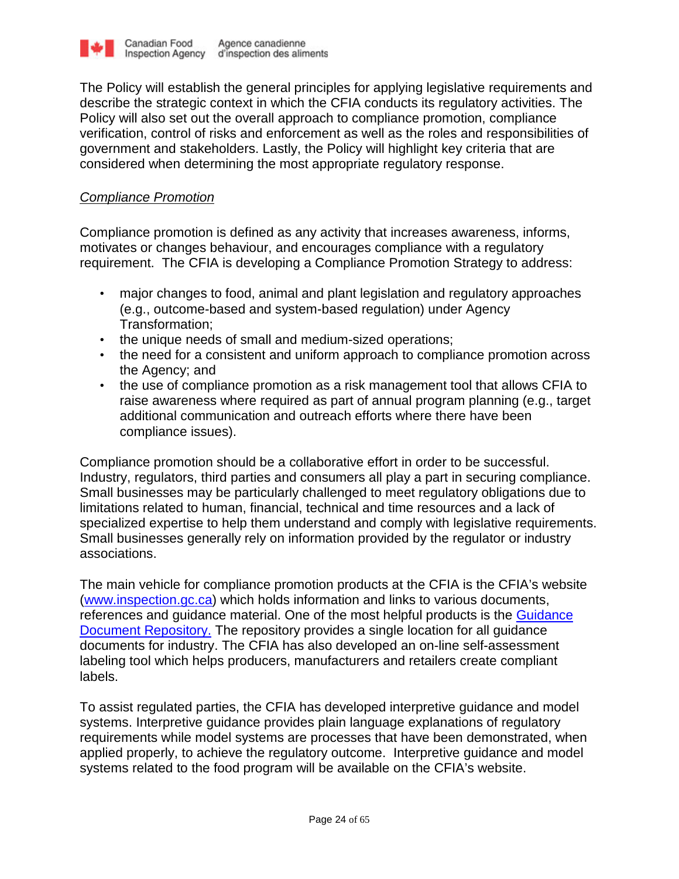

The Policy will establish the general principles for applying legislative requirements and describe the strategic context in which the CFIA conducts its regulatory activities. The Policy will also set out the overall approach to compliance promotion, compliance verification, control of risks and enforcement as well as the roles and responsibilities of government and stakeholders. Lastly, the Policy will highlight key criteria that are considered when determining the most appropriate regulatory response.

#### *Compliance Promotion*

Compliance promotion is defined as any activity that increases awareness, informs, motivates or changes behaviour, and encourages compliance with a regulatory requirement. The CFIA is developing a Compliance Promotion Strategy to address:

- major changes to food, animal and plant legislation and regulatory approaches (e.g., outcome-based and system-based regulation) under Agency Transformation;
- the unique needs of small and medium-sized operations;
- the need for a consistent and uniform approach to compliance promotion across the Agency; and
- the use of compliance promotion as a risk management tool that allows CFIA to raise awareness where required as part of annual program planning (e.g., target additional communication and outreach efforts where there have been compliance issues).

Compliance promotion should be a collaborative effort in order to be successful. Industry, regulators, third parties and consumers all play a part in securing compliance. Small businesses may be particularly challenged to meet regulatory obligations due to limitations related to human, financial, technical and time resources and a lack of specialized expertise to help them understand and comply with legislative requirements. Small businesses generally rely on information provided by the regulator or industry associations.

The main vehicle for compliance promotion products at the CFIA is the CFIA's website [\(www.inspection.gc.ca\)](http://www.inspection.gc.ca/) which holds information and links to various documents, references and guidance material. One of the most helpful products is the [Guidance](http://www.inspection.gc.ca/guidance-document-repository/eng/1374161650885/1374161737236)  [Document Repository.](http://www.inspection.gc.ca/guidance-document-repository/eng/1374161650885/1374161737236) The repository provides a single location for all guidance documents for industry. The CFIA has also developed an on-line self-assessment labeling tool which helps producers, manufacturers and retailers create compliant labels.

To assist regulated parties, the CFIA has developed interpretive guidance and model systems. Interpretive guidance provides plain language explanations of regulatory requirements while model systems are processes that have been demonstrated, when applied properly, to achieve the regulatory outcome. Interpretive guidance and model systems related to the food program will be available on the CFIA's website.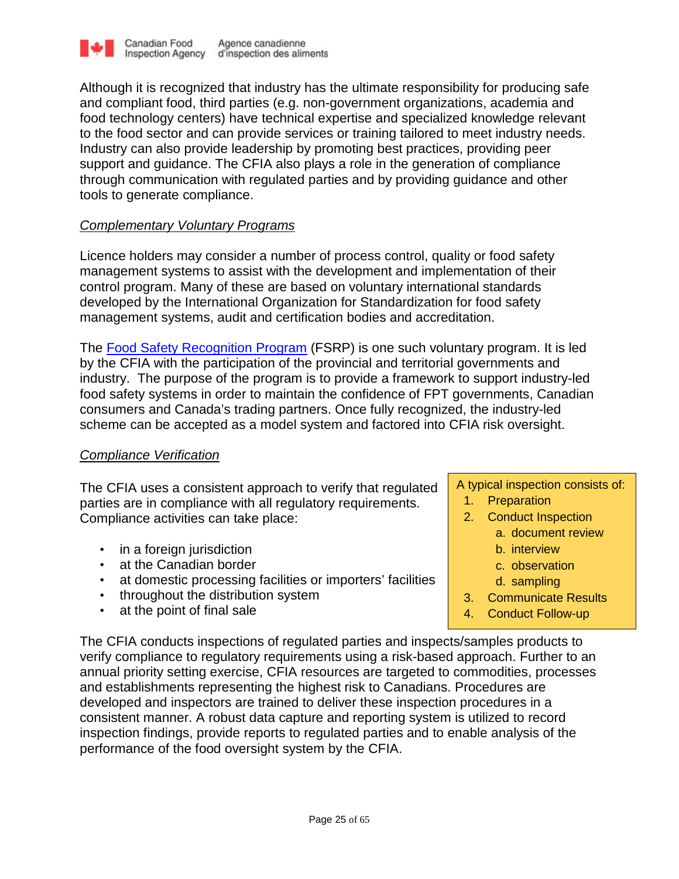

Although it is recognized that industry has the ultimate responsibility for producing safe and compliant food, third parties (e.g. non-government organizations, academia and food technology centers) have technical expertise and specialized knowledge relevant to the food sector and can provide services or training tailored to meet industry needs. Industry can also provide leadership by promoting best practices, providing peer support and guidance. The CFIA also plays a role in the generation of compliance through communication with regulated parties and by providing guidance and other tools to generate compliance.

#### *Complementary Voluntary Programs*

Licence holders may consider a number of process control, quality or food safety management systems to assist with the development and implementation of their control program. Many of these are based on voluntary international standards developed by the International Organization for Standardization for food safety management systems, audit and certification bodies and accreditation.

The [Food Safety Recognition Program](http://www.inspection.gc.ca/food/safe-food-production-systems/food-safety-enhancement-program/recognition-program/eng/1299860970026/1299861042890) (FSRP) is one such voluntary program. It is led by the CFIA with the participation of the provincial and territorial governments and industry. The purpose of the program is to provide a framework to support industry-led food safety systems in order to maintain the confidence of FPT governments, Canadian consumers and Canada's trading partners. Once fully recognized, the industry-led scheme can be accepted as a model system and factored into CFIA risk oversight.

#### *Compliance Verification*

The CFIA uses a consistent approach to verify that regulated parties are in compliance with all regulatory requirements. Compliance activities can take place:

- in a foreign jurisdiction
- at the Canadian border
- at domestic processing facilities or importers' facilities
- throughout the distribution system
- at the point of final sale

A typical inspection consists of:

- 1. Preparation
- 2. Conduct Inspection
	- a. document review
	- b. interview
	- c. observation
	- d. sampling
- 3. Communicate Results
- 4. Conduct Follow-up

The CFIA conducts inspections of regulated parties and inspects/samples products to verify compliance to regulatory requirements using a risk-based approach. Further to an annual priority setting exercise, CFIA resources are targeted to commodities, processes and establishments representing the highest risk to Canadians. Procedures are developed and inspectors are trained to deliver these inspection procedures in a consistent manner. A robust data capture and reporting system is utilized to record inspection findings, provide reports to regulated parties and to enable analysis of the performance of the food oversight system by the CFIA.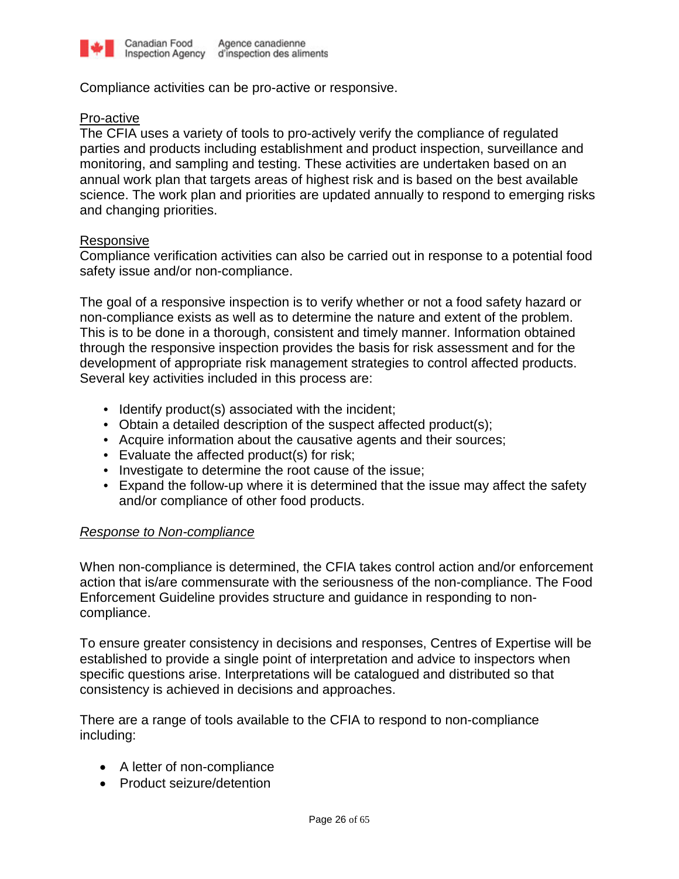

Compliance activities can be pro-active or responsive.

#### Pro-active

The CFIA uses a variety of tools to pro-actively verify the compliance of regulated parties and products including establishment and product inspection, surveillance and monitoring, and sampling and testing. These activities are undertaken based on an annual work plan that targets areas of highest risk and is based on the best available science. The work plan and priorities are updated annually to respond to emerging risks and changing priorities.

#### Responsive

Compliance verification activities can also be carried out in response to a potential food safety issue and/or non-compliance.

The goal of a responsive inspection is to verify whether or not a food safety hazard or non-compliance exists as well as to determine the nature and extent of the problem. This is to be done in a thorough, consistent and timely manner. Information obtained through the responsive inspection provides the basis for risk assessment and for the development of appropriate risk management strategies to control affected products. Several key activities included in this process are:

- Identify product(s) associated with the incident;
- Obtain a detailed description of the suspect affected product(s);
- Acquire information about the causative agents and their sources;
- Evaluate the affected product(s) for risk;
- Investigate to determine the root cause of the issue;
- Expand the follow-up where it is determined that the issue may affect the safety and/or compliance of other food products.

#### *Response to Non-compliance*

When non-compliance is determined, the CFIA takes control action and/or enforcement action that is/are commensurate with the seriousness of the non-compliance. The Food Enforcement Guideline provides structure and guidance in responding to noncompliance.

To ensure greater consistency in decisions and responses, Centres of Expertise will be established to provide a single point of interpretation and advice to inspectors when specific questions arise. Interpretations will be catalogued and distributed so that consistency is achieved in decisions and approaches.

There are a range of tools available to the CFIA to respond to non-compliance including:

- A letter of non-compliance
- Product seizure/detention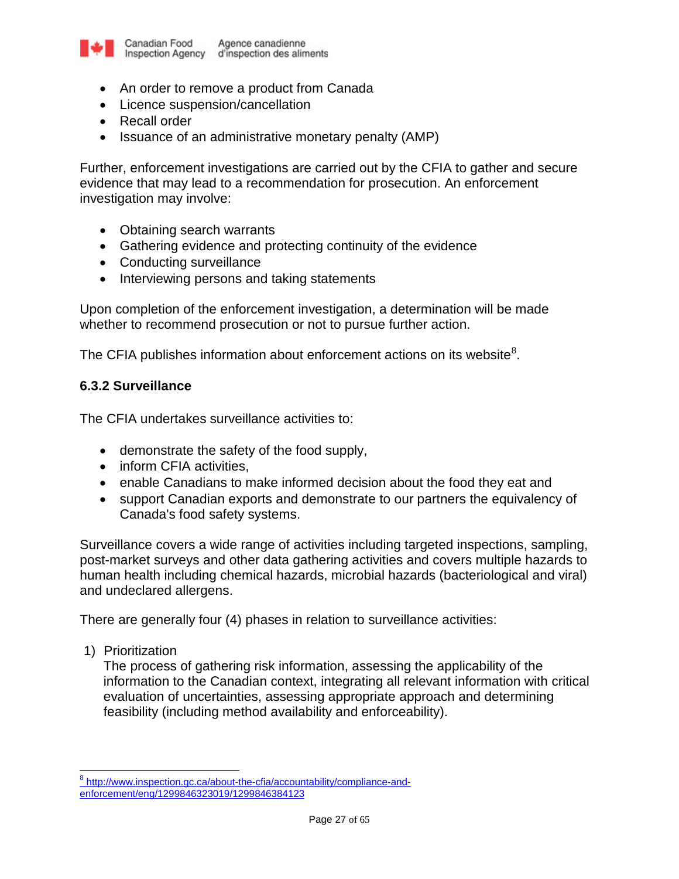

- An order to remove a product from Canada
- Licence suspension/cancellation
- Recall order
- Issuance of an administrative monetary penalty (AMP)

Further, enforcement investigations are carried out by the CFIA to gather and secure evidence that may lead to a recommendation for prosecution. An enforcement investigation may involve:

- Obtaining search warrants
- Gathering evidence and protecting continuity of the evidence
- Conducting surveillance
- Interviewing persons and taking statements

Upon completion of the enforcement investigation, a determination will be made whether to recommend prosecution or not to pursue further action.

The CFIA publishes information about enforcement actions on its website $^8$  $^8$ .

#### **6.3.2 Surveillance**

The CFIA undertakes surveillance activities to:

- demonstrate the safety of the food supply,
- inform CFIA activities.
- enable Canadians to make informed decision about the food they eat and
- support Canadian exports and demonstrate to our partners the equivalency of Canada's food safety systems.

Surveillance covers a wide range of activities including targeted inspections, sampling, post-market surveys and other data gathering activities and covers multiple hazards to human health including chemical hazards, microbial hazards (bacteriological and viral) and undeclared allergens.

There are generally four (4) phases in relation to surveillance activities:

1) Prioritization

The process of gathering risk information, assessing the applicability of the information to the Canadian context, integrating all relevant information with critical evaluation of uncertainties, assessing appropriate approach and determining feasibility (including method availability and enforceability).

<span id="page-26-0"></span><sup>&</sup>lt;sup>8</sup> [http://www.inspection.gc.ca/about-the-cfia/accountability/compliance-and](http://www.inspection.gc.ca/about-the-cfia/accountability/compliance-and-enforcement/eng/1299846323019/1299846384123)[enforcement/eng/1299846323019/1299846384123](http://www.inspection.gc.ca/about-the-cfia/accountability/compliance-and-enforcement/eng/1299846323019/1299846384123)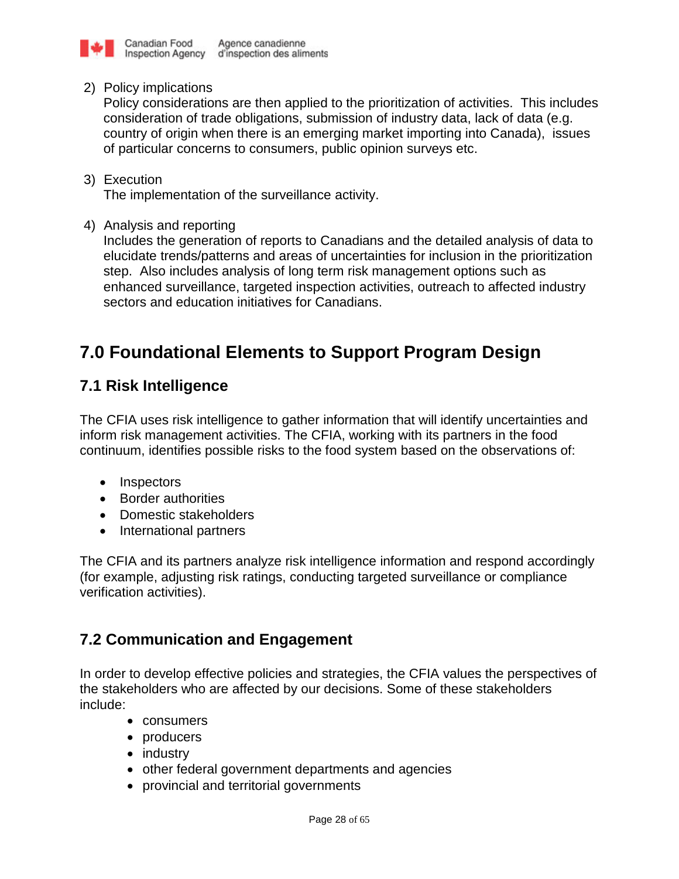

#### 2) Policy implications

Policy considerations are then applied to the prioritization of activities. This includes consideration of trade obligations, submission of industry data, lack of data (e.g. country of origin when there is an emerging market importing into Canada), issues of particular concerns to consumers, public opinion surveys etc.

#### 3) Execution

The implementation of the surveillance activity.

#### 4) Analysis and reporting

Includes the generation of reports to Canadians and the detailed analysis of data to elucidate trends/patterns and areas of uncertainties for inclusion in the prioritization step. Also includes analysis of long term risk management options such as enhanced surveillance, targeted inspection activities, outreach to affected industry sectors and education initiatives for Canadians.

# <span id="page-27-0"></span>**7.0 Foundational Elements to Support Program Design**

### <span id="page-27-1"></span>**7.1 Risk Intelligence**

The CFIA uses risk intelligence to gather information that will identify uncertainties and inform risk management activities. The CFIA, working with its partners in the food continuum, identifies possible risks to the food system based on the observations of:

- Inspectors
- Border authorities
- Domestic stakeholders
- International partners

The CFIA and its partners analyze risk intelligence information and respond accordingly (for example, adjusting risk ratings, conducting targeted surveillance or compliance verification activities).

## <span id="page-27-2"></span>**7.2 Communication and Engagement**

In order to develop effective policies and strategies, the CFIA values the perspectives of the stakeholders who are affected by our decisions. Some of these stakeholders include:

- consumers
- producers
- industry
- other federal government departments and agencies
- provincial and territorial governments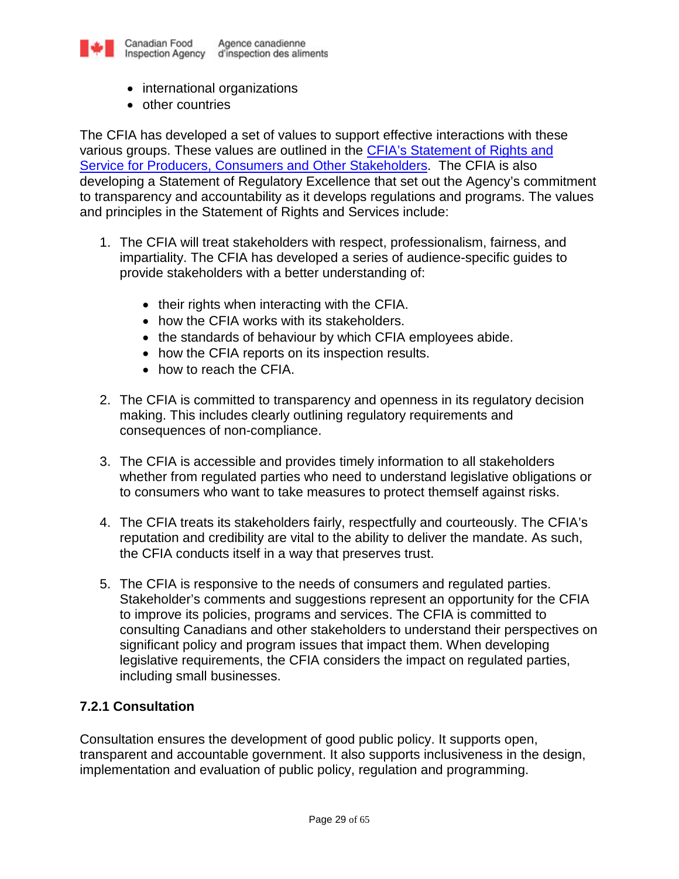

- international organizations
- other countries

The CFIA has developed a set of values to support effective interactions with these various groups. These values are outlined in the [CFIA's Statement of Rights and](http://www.inspection.gc.ca/about-the-cfia/accountability/statement-of-rights-and-service/message/eng/1326320466901/1326320527397)  [Service for Producers, Consumers and Other Stakeholders.](http://www.inspection.gc.ca/about-the-cfia/accountability/statement-of-rights-and-service/message/eng/1326320466901/1326320527397) The CFIA is also developing a Statement of Regulatory Excellence that set out the Agency's commitment to transparency and accountability as it develops regulations and programs. The values and principles in the Statement of Rights and Services include:

- 1. The CFIA will treat stakeholders with respect, professionalism, fairness, and impartiality. The CFIA has developed a series of audience-specific guides to provide stakeholders with a better understanding of:
	- their rights when interacting with the CFIA.
	- how the CFIA works with its stakeholders.
	- the standards of behaviour by which CFIA employees abide.
	- how the CFIA reports on its inspection results.
	- how to reach the CFIA.
- 2. The CFIA is committed to transparency and openness in its regulatory decision making. This includes clearly outlining regulatory requirements and consequences of non-compliance.
- 3. The CFIA is accessible and provides timely information to all stakeholders whether from regulated parties who need to understand legislative obligations or to consumers who want to take measures to protect themself against risks.
- 4. The CFIA treats its stakeholders fairly, respectfully and courteously. The CFIA's reputation and credibility are vital to the ability to deliver the mandate. As such, the CFIA conducts itself in a way that preserves trust.
- 5. The CFIA is responsive to the needs of consumers and regulated parties. Stakeholder's comments and suggestions represent an opportunity for the CFIA to improve its policies, programs and services. The CFIA is committed to consulting Canadians and other stakeholders to understand their perspectives on significant policy and program issues that impact them. When developing legislative requirements, the CFIA considers the impact on regulated parties, including small businesses.

#### <span id="page-28-0"></span>**7.2.1 Consultation**

Consultation ensures the development of good public policy. It supports open, transparent and accountable government. It also supports inclusiveness in the design, implementation and evaluation of public policy, regulation and programming.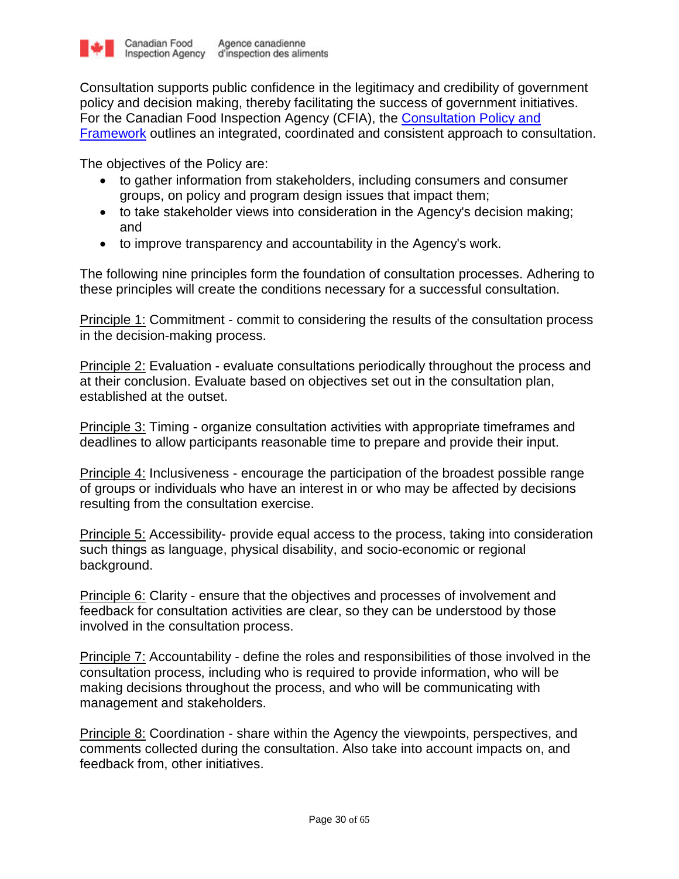

Consultation supports public confidence in the legitimacy and credibility of government policy and decision making, thereby facilitating the success of government initiatives. For the Canadian Food Inspection Agency (CFIA), the [Consultation Policy and](http://www.inspection.gc.ca/about-the-cfia/accountability/consultations/consultation-policy-and-framework/eng/1330978800191/1330978883936)  [Framework](http://www.inspection.gc.ca/about-the-cfia/accountability/consultations/consultation-policy-and-framework/eng/1330978800191/1330978883936) outlines an integrated, coordinated and consistent approach to consultation.

The objectives of the Policy are:

- to gather information from stakeholders, including consumers and consumer groups, on policy and program design issues that impact them;
- to take stakeholder views into consideration in the Agency's decision making; and
- to improve transparency and accountability in the Agency's work.

The following nine principles form the foundation of consultation processes. Adhering to these principles will create the conditions necessary for a successful consultation.

**Principle 1:** Commitment - commit to considering the results of the consultation process in the decision-making process.

Principle 2: Evaluation - evaluate consultations periodically throughout the process and at their conclusion. Evaluate based on objectives set out in the consultation plan, established at the outset.

Principle 3: Timing - organize consultation activities with appropriate timeframes and deadlines to allow participants reasonable time to prepare and provide their input.

Principle 4: Inclusiveness - encourage the participation of the broadest possible range of groups or individuals who have an interest in or who may be affected by decisions resulting from the consultation exercise.

Principle 5: Accessibility- provide equal access to the process, taking into consideration such things as language, physical disability, and socio-economic or regional background.

**Principle 6:** Clarity - ensure that the objectives and processes of involvement and feedback for consultation activities are clear, so they can be understood by those involved in the consultation process.

Principle 7: Accountability - define the roles and responsibilities of those involved in the consultation process, including who is required to provide information, who will be making decisions throughout the process, and who will be communicating with management and stakeholders.

Principle 8: Coordination - share within the Agency the viewpoints, perspectives, and comments collected during the consultation. Also take into account impacts on, and feedback from, other initiatives.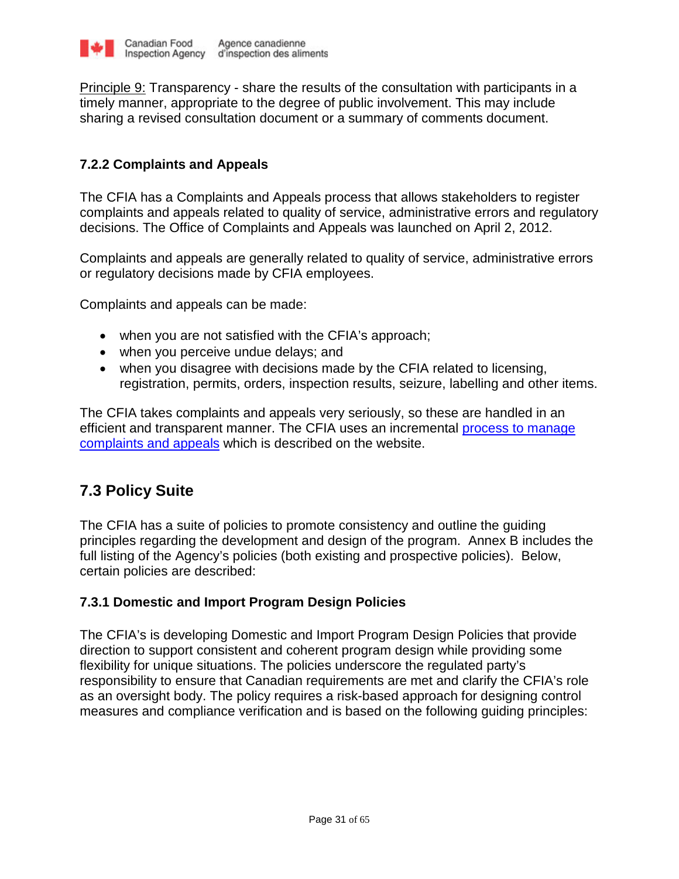

Principle 9: Transparency - share the results of the consultation with participants in a timely manner, appropriate to the degree of public involvement. This may include sharing a revised consultation document or a summary of comments document.

#### <span id="page-30-0"></span>**7.2.2 Complaints and Appeals**

The CFIA has a Complaints and Appeals process that allows stakeholders to register complaints and appeals related to quality of service, administrative errors and regulatory decisions. The Office of Complaints and Appeals was launched on April 2, 2012.

Complaints and appeals are generally related to quality of service, administrative errors or regulatory decisions made by CFIA employees.

Complaints and appeals can be made:

- when you are not satisfied with the CFIA's approach;
- when you perceive undue delays; and
- when you disagree with decisions made by the CFIA related to licensing, registration, permits, orders, inspection results, seizure, labelling and other items.

The CFIA takes complaints and appeals very seriously, so these are handled in an efficient and transparent manner. The CFIA uses an incremental [process to manage](http://www.inspection.gc.ca/about-the-cfia/accountability/complaints-and-appeals/eng/1365098638147/1365098743944)  [complaints and appeals](http://www.inspection.gc.ca/about-the-cfia/accountability/complaints-and-appeals/eng/1365098638147/1365098743944) which is described on the website.

## <span id="page-30-1"></span>**7.3 Policy Suite**

The CFIA has a suite of policies to promote consistency and outline the guiding principles regarding the development and design of the program. Annex B includes the full listing of the Agency's policies (both existing and prospective policies). Below, certain policies are described:

#### <span id="page-30-2"></span>**7.3.1 Domestic and Import Program Design Policies**

The CFIA's is developing Domestic and Import Program Design Policies that provide direction to support consistent and coherent program design while providing some flexibility for unique situations. The policies underscore the regulated party's responsibility to ensure that Canadian requirements are met and clarify the CFIA's role as an oversight body. The policy requires a risk-based approach for designing control measures and compliance verification and is based on the following guiding principles: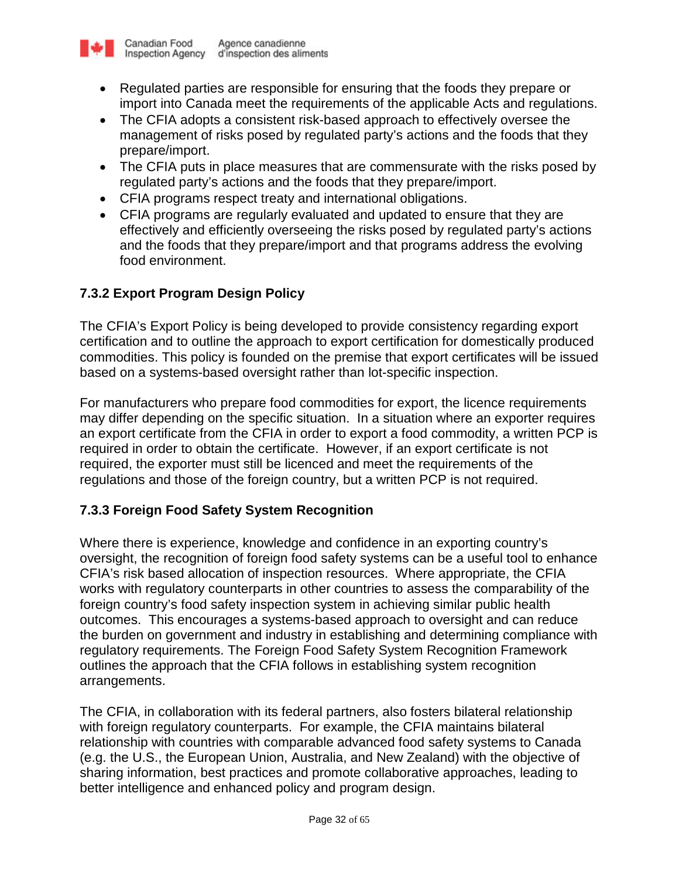

- Regulated parties are responsible for ensuring that the foods they prepare or import into Canada meet the requirements of the applicable Acts and regulations.
- The CFIA adopts a consistent risk-based approach to effectively oversee the management of risks posed by regulated party's actions and the foods that they prepare/import.
- The CFIA puts in place measures that are commensurate with the risks posed by regulated party's actions and the foods that they prepare/import.
- CFIA programs respect treaty and international obligations.
- CFIA programs are regularly evaluated and updated to ensure that they are effectively and efficiently overseeing the risks posed by regulated party's actions and the foods that they prepare/import and that programs address the evolving food environment.

### <span id="page-31-0"></span>**7.3.2 Export Program Design Policy**

The CFIA's Export Policy is being developed to provide consistency regarding export certification and to outline the approach to export certification for domestically produced commodities. This policy is founded on the premise that export certificates will be issued based on a systems-based oversight rather than lot-specific inspection.

For manufacturers who prepare food commodities for export, the licence requirements may differ depending on the specific situation. In a situation where an exporter requires an export certificate from the CFIA in order to export a food commodity, a written PCP is required in order to obtain the certificate. However, if an export certificate is not required, the exporter must still be licenced and meet the requirements of the regulations and those of the foreign country, but a written PCP is not required.

### <span id="page-31-1"></span>**7.3.3 Foreign Food Safety System Recognition**

Where there is experience, knowledge and confidence in an exporting country's oversight, the recognition of foreign food safety systems can be a useful tool to enhance CFIA's risk based allocation of inspection resources. Where appropriate, the CFIA works with regulatory counterparts in other countries to assess the comparability of the foreign country's food safety inspection system in achieving similar public health outcomes. This encourages a systems-based approach to oversight and can reduce the burden on government and industry in establishing and determining compliance with regulatory requirements. The Foreign Food Safety System Recognition Framework outlines the approach that the CFIA follows in establishing system recognition arrangements.

The CFIA, in collaboration with its federal partners, also fosters bilateral relationship with foreign regulatory counterparts. For example, the CFIA maintains bilateral relationship with countries with comparable advanced food safety systems to Canada (e.g. the U.S., the European Union, Australia, and New Zealand) with the objective of sharing information, best practices and promote collaborative approaches, leading to better intelligence and enhanced policy and program design.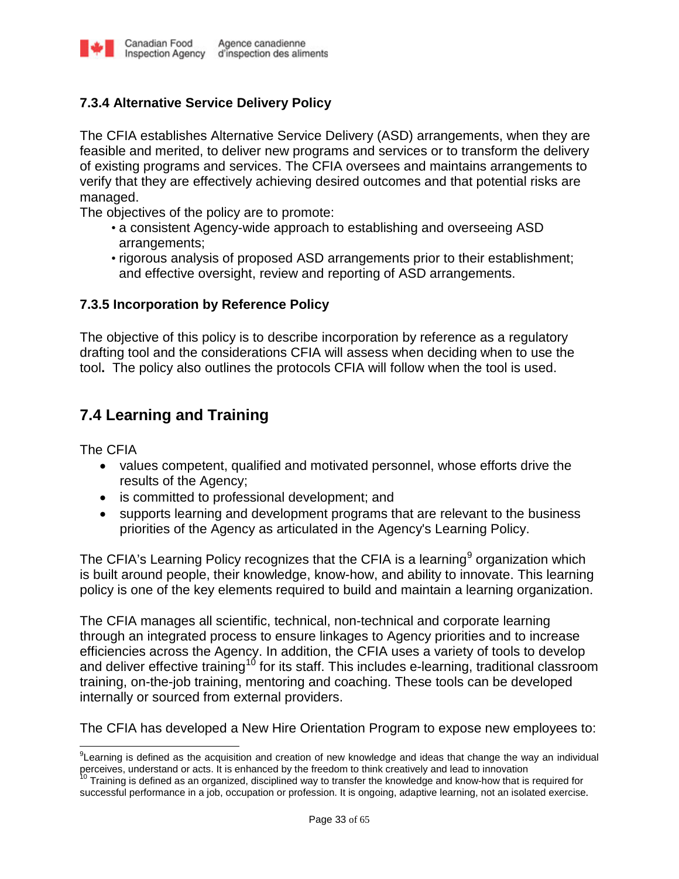### <span id="page-32-0"></span>**7.3.4 Alternative Service Delivery Policy**

The CFIA establishes Alternative Service Delivery (ASD) arrangements, when they are feasible and merited, to deliver new programs and services or to transform the delivery of existing programs and services. The CFIA oversees and maintains arrangements to verify that they are effectively achieving desired outcomes and that potential risks are managed.

The objectives of the policy are to promote:

- a consistent Agency-wide approach to establishing and overseeing ASD arrangements;
- rigorous analysis of proposed ASD arrangements prior to their establishment; and effective oversight, review and reporting of ASD arrangements.

#### <span id="page-32-1"></span>**7.3.5 Incorporation by Reference Policy**

The objective of this policy is to describe incorporation by reference as a regulatory drafting tool and the considerations CFIA will assess when deciding when to use the tool**.** The policy also outlines the protocols CFIA will follow when the tool is used.

## <span id="page-32-2"></span>**7.4 Learning and Training**

The CFIA

- values competent, qualified and motivated personnel, whose efforts drive the results of the Agency;
- is committed to professional development; and
- supports learning and development programs that are relevant to the business priorities of the Agency as articulated in the Agency's Learning Policy.

The CFIA's Learning Policy recognizes that the CFIA is a learning<sup>[9](#page-32-3)</sup> organization which is built around people, their knowledge, know-how, and ability to innovate. This learning policy is one of the key elements required to build and maintain a learning organization.

The CFIA manages all scientific, technical, non-technical and corporate learning through an integrated process to ensure linkages to Agency priorities and to increase efficiencies across the Agency. In addition, the CFIA uses a variety of tools to develop and deliver effective training<sup>[10](#page-32-4)</sup> for its staff. This includes e-learning, traditional classroom training, on-the-job training, mentoring and coaching. These tools can be developed internally or sourced from external providers.

The CFIA has developed a New Hire Orientation Program to expose new employees to:

<span id="page-32-3"></span><sup>9&</sup>lt;br><sup>9</sup>Learning is defined as the acquisition and creation of new knowledge and ideas that change the way an individual perceives, understand or acts. It is enhanced by the freedom to think creatively and lead to innovation

<span id="page-32-4"></span><sup>&</sup>lt;sup>10</sup> Training is defined as an organized, disciplined way to transfer the knowledge and know-how that is required for successful performance in a job, occupation or profession. It is ongoing, adaptive learning, not an isolated exercise.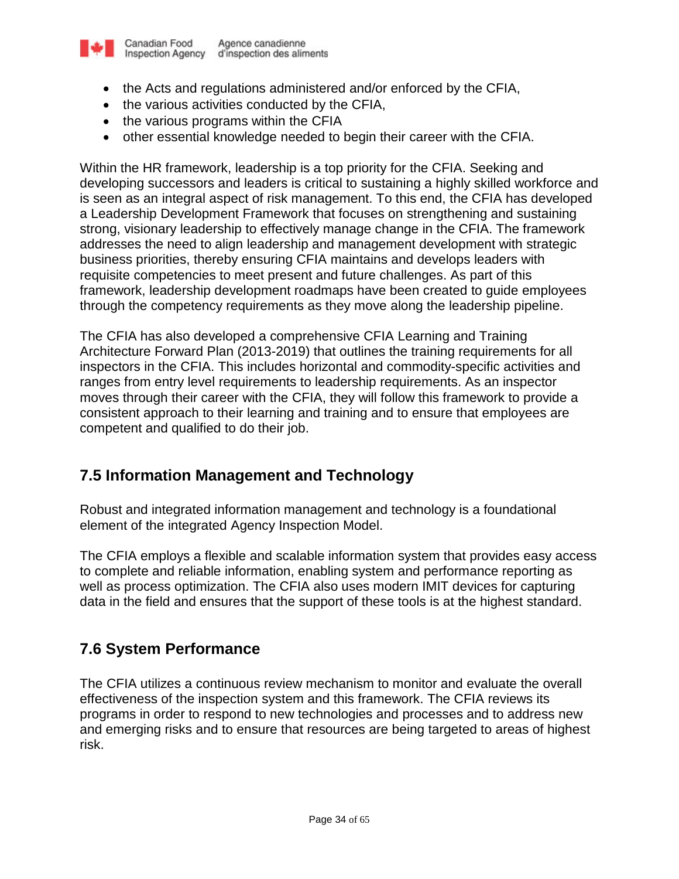

- the Acts and regulations administered and/or enforced by the CFIA,
- the various activities conducted by the CFIA,
- the various programs within the CFIA
- other essential knowledge needed to begin their career with the CFIA.

Within the HR framework, leadership is a top priority for the CFIA. Seeking and developing successors and leaders is critical to sustaining a highly skilled workforce and is seen as an integral aspect of risk management. To this end, the CFIA has developed a Leadership Development Framework that focuses on strengthening and sustaining strong, visionary leadership to effectively manage change in the CFIA. The framework addresses the need to align leadership and management development with strategic business priorities, thereby ensuring CFIA maintains and develops leaders with requisite competencies to meet present and future challenges. As part of this framework, leadership development roadmaps have been created to guide employees through the competency requirements as they move along the leadership pipeline.

The CFIA has also developed a comprehensive CFIA Learning and Training Architecture Forward Plan (2013-2019) that outlines the training requirements for all inspectors in the CFIA. This includes horizontal and commodity-specific activities and ranges from entry level requirements to leadership requirements. As an inspector moves through their career with the CFIA, they will follow this framework to provide a consistent approach to their learning and training and to ensure that employees are competent and qualified to do their job.

## <span id="page-33-0"></span>**7.5 Information Management and Technology**

Robust and integrated information management and technology is a foundational element of the integrated Agency Inspection Model.

The CFIA employs a flexible and scalable information system that provides easy access to complete and reliable information, enabling system and performance reporting as well as process optimization. The CFIA also uses modern IMIT devices for capturing data in the field and ensures that the support of these tools is at the highest standard.

# <span id="page-33-1"></span>**7.6 System Performance**

The CFIA utilizes a continuous review mechanism to monitor and evaluate the overall effectiveness of the inspection system and this framework. The CFIA reviews its programs in order to respond to new technologies and processes and to address new and emerging risks and to ensure that resources are being targeted to areas of highest risk.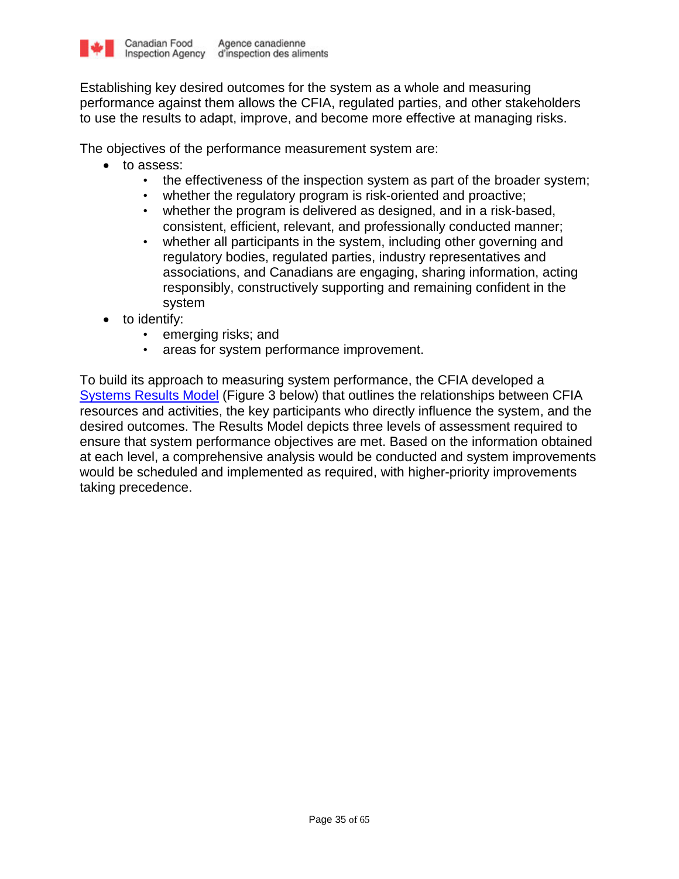

Establishing key desired outcomes for the system as a whole and measuring performance against them allows the CFIA, regulated parties, and other stakeholders to use the results to adapt, improve, and become more effective at managing risks.

The objectives of the performance measurement system are:

- to assess:
	- the effectiveness of the inspection system as part of the broader system;
	- whether the regulatory program is risk-oriented and proactive;
	- whether the program is delivered as designed, and in a risk-based, consistent, efficient, relevant, and professionally conducted manner;
	- whether all participants in the system, including other governing and regulatory bodies, regulated parties, industry representatives and associations, and Canadians are engaging, sharing information, acting responsibly, constructively supporting and remaining confident in the system
- to identify:
	- emerging risks; and
	- areas for system performance improvement.

To build its approach to measuring system performance, the CFIA developed a [Systems Results Model](http://www.inspection.gc.ca/DAM/DAM-aboutcfia-sujetacia/STAGING/images-images/acco_modernization_modeldraft_final_figure5_1372259534832_eng.jpg) (Figure 3 below) that outlines the relationships between CFIA resources and activities, the key participants who directly influence the system, and the desired outcomes. The Results Model depicts three levels of assessment required to ensure that system performance objectives are met. Based on the information obtained at each level, a comprehensive analysis would be conducted and system improvements would be scheduled and implemented as required, with higher-priority improvements taking precedence.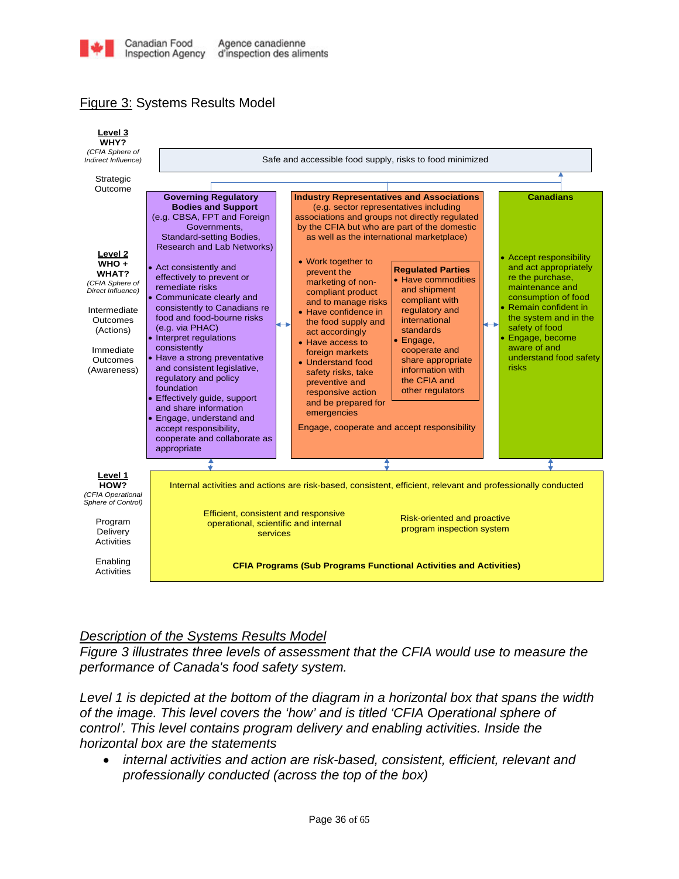

### Figure 3: Systems Results Model



#### *Description of the Systems Results Model*

*Figure 3 illustrates three levels of assessment that the CFIA would use to measure the performance of Canada's food safety system.*

*Level 1 is depicted at the bottom of the diagram in a horizontal box that spans the width of the image. This level covers the 'how' and is titled 'CFIA Operational sphere of control'. This level contains program delivery and enabling activities. Inside the horizontal box are the statements*

• *internal activities and action are risk-based, consistent, efficient, relevant and professionally conducted (across the top of the box)*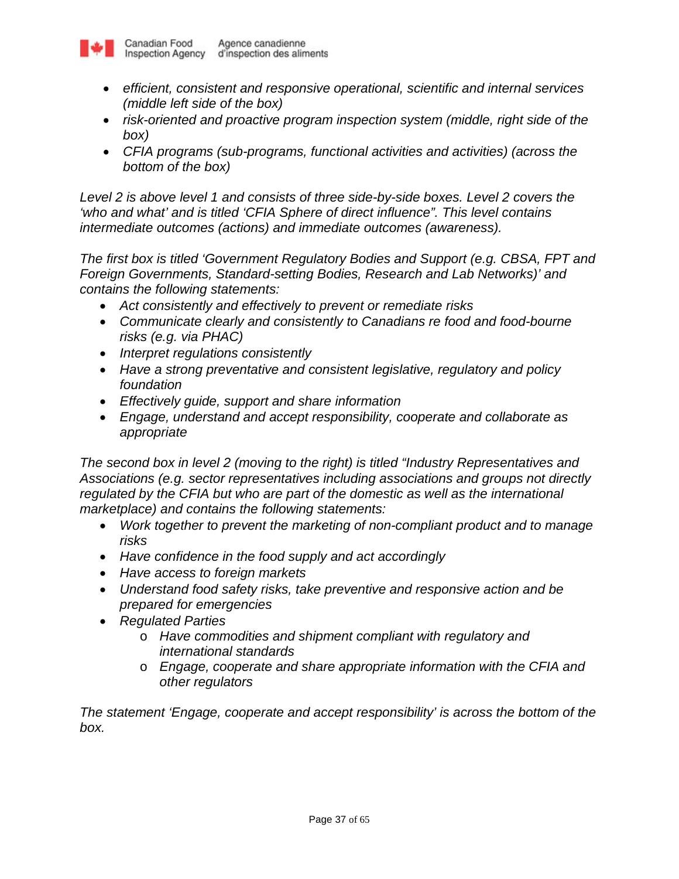

- *efficient, consistent and responsive operational, scientific and internal services (middle left side of the box)*
- *risk-oriented and proactive program inspection system (middle, right side of the box)*
- *CFIA programs (sub-programs, functional activities and activities) (across the bottom of the box)*

*Level 2 is above level 1 and consists of three side-by-side boxes. Level 2 covers the 'who and what' and is titled 'CFIA Sphere of direct influence". This level contains intermediate outcomes (actions) and immediate outcomes (awareness).* 

*The first box is titled 'Government Regulatory Bodies and Support (e.g. CBSA, FPT and Foreign Governments, Standard-setting Bodies, Research and Lab Networks)' and contains the following statements:*

- *Act consistently and effectively to prevent or remediate risks*
- *Communicate clearly and consistently to Canadians re food and food-bourne risks (e.g. via PHAC)*
- *Interpret regulations consistently*
- *Have a strong preventative and consistent legislative, regulatory and policy foundation*
- *Effectively guide, support and share information*
- *Engage, understand and accept responsibility, cooperate and collaborate as appropriate*

*The second box in level 2 (moving to the right) is titled "Industry Representatives and Associations (e.g. sector representatives including associations and groups not directly regulated by the CFIA but who are part of the domestic as well as the international marketplace) and contains the following statements:*

- *Work together to prevent the marketing of non-compliant product and to manage risks*
- *Have confidence in the food supply and act accordingly*
- *Have access to foreign markets*
- *Understand food safety risks, take preventive and responsive action and be prepared for emergencies*
- *Regulated Parties*
	- o *Have commodities and shipment compliant with regulatory and international standards*
	- o *Engage, cooperate and share appropriate information with the CFIA and other regulators*

*The statement 'Engage, cooperate and accept responsibility' is across the bottom of the box.*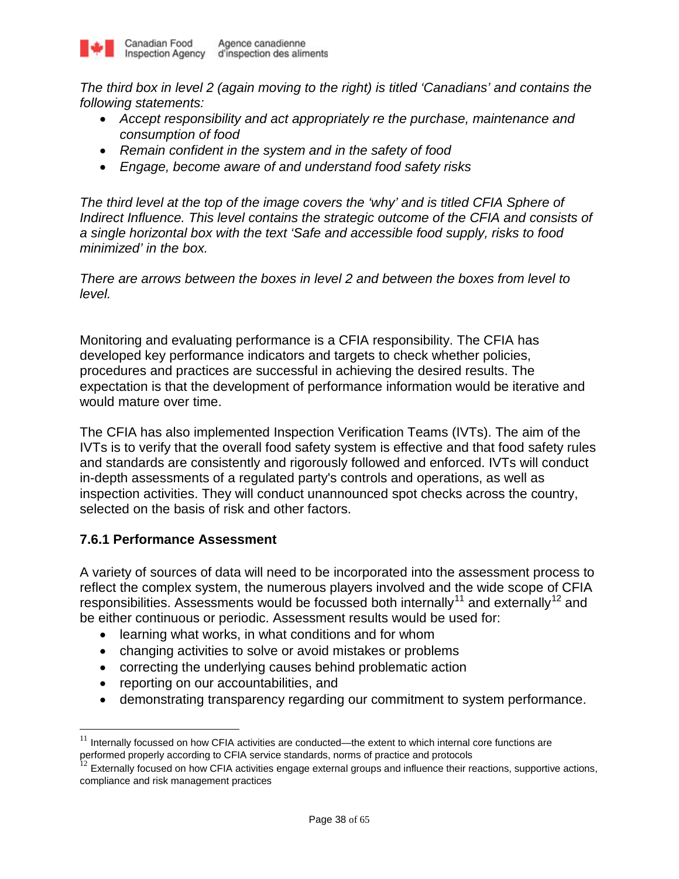

*The third box in level 2 (again moving to the right) is titled 'Canadians' and contains the following statements:*

- *Accept responsibility and act appropriately re the purchase, maintenance and consumption of food*
- *Remain confident in the system and in the safety of food*
- *Engage, become aware of and understand food safety risks*

*The third level at the top of the image covers the 'why' and is titled CFIA Sphere of Indirect Influence. This level contains the strategic outcome of the CFIA and consists of a single horizontal box with the text 'Safe and accessible food supply, risks to food minimized' in the box.*

*There are arrows between the boxes in level 2 and between the boxes from level to level.*

Monitoring and evaluating performance is a CFIA responsibility. The CFIA has developed key performance indicators and targets to check whether policies, procedures and practices are successful in achieving the desired results. The expectation is that the development of performance information would be iterative and would mature over time.

The CFIA has also implemented Inspection Verification Teams (IVTs). The aim of the IVTs is to verify that the overall food safety system is effective and that food safety rules and standards are consistently and rigorously followed and enforced. IVTs will conduct in-depth assessments of a regulated party's controls and operations, as well as inspection activities. They will conduct unannounced spot checks across the country, selected on the basis of risk and other factors.

#### <span id="page-37-0"></span>**7.6.1 Performance Assessment**

A variety of sources of data will need to be incorporated into the assessment process to reflect the complex system, the numerous players involved and the wide scope of CFIA responsibilities. Assessments would be focussed both internally<sup>[11](#page-37-1)</sup> and externally<sup>[12](#page-37-2)</sup> and be either continuous or periodic. Assessment results would be used for:

- learning what works, in what conditions and for whom
- changing activities to solve or avoid mistakes or problems
- correcting the underlying causes behind problematic action
- reporting on our accountabilities, and
- demonstrating transparency regarding our commitment to system performance.

<span id="page-37-1"></span> $11$  Internally focussed on how CFIA activities are conducted—the extent to which internal core functions are performed properly according to CFIA service standards, norms of practice and protocols

<span id="page-37-2"></span><sup>&</sup>lt;sup>12</sup> Externally focused on how CFIA activities engage external groups and influence their reactions, supportive actions, compliance and risk management practices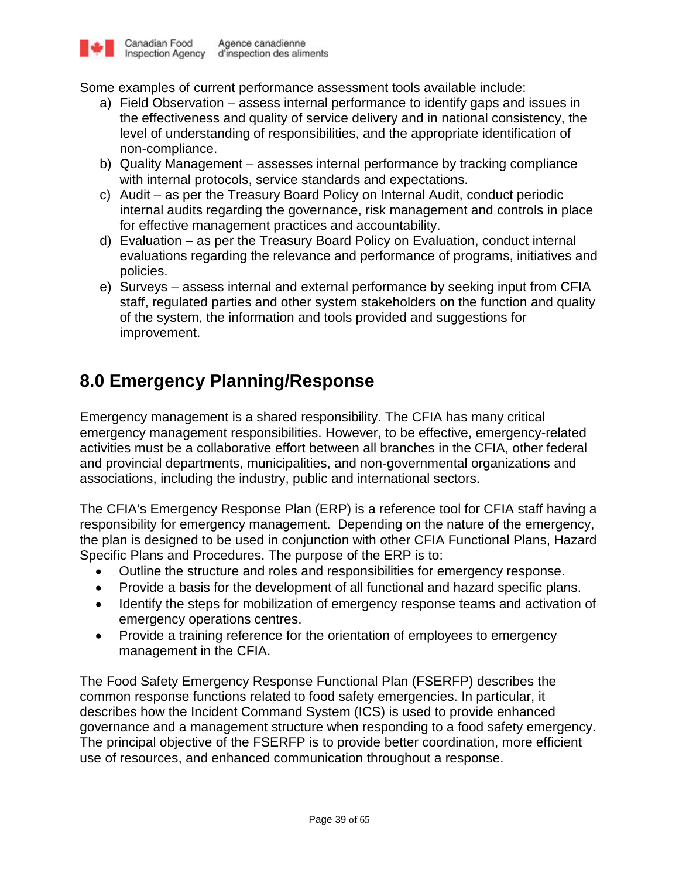

Some examples of current performance assessment tools available include:

- a) Field Observation assess internal performance to identify gaps and issues in the effectiveness and quality of service delivery and in national consistency, the level of understanding of responsibilities, and the appropriate identification of non-compliance.
- b) Quality Management assesses internal performance by tracking compliance with internal protocols, service standards and expectations.
- c) Audit as per the Treasury Board Policy on Internal Audit, conduct periodic internal audits regarding the governance, risk management and controls in place for effective management practices and accountability.
- d) Evaluation as per the Treasury Board Policy on Evaluation, conduct internal evaluations regarding the relevance and performance of programs, initiatives and policies.
- e) Surveys assess internal and external performance by seeking input from CFIA staff, regulated parties and other system stakeholders on the function and quality of the system, the information and tools provided and suggestions for improvement.

# <span id="page-38-0"></span>**8.0 Emergency Planning/Response**

Emergency management is a shared responsibility. The CFIA has many critical emergency management responsibilities. However, to be effective, emergency-related activities must be a collaborative effort between all branches in the CFIA, other federal and provincial departments, municipalities, and non-governmental organizations and associations, including the industry, public and international sectors.

The CFIA's Emergency Response Plan (ERP) is a reference tool for CFIA staff having a responsibility for emergency management. Depending on the nature of the emergency, the plan is designed to be used in conjunction with other CFIA Functional Plans, Hazard Specific Plans and Procedures. The purpose of the ERP is to:

- Outline the structure and roles and responsibilities for emergency response.
- Provide a basis for the development of all functional and hazard specific plans.
- Identify the steps for mobilization of emergency response teams and activation of emergency operations centres.
- Provide a training reference for the orientation of employees to emergency management in the CFIA.

The Food Safety Emergency Response Functional Plan (FSERFP) describes the common response functions related to food safety emergencies. In particular, it describes how the Incident Command System (ICS) is used to provide enhanced governance and a management structure when responding to a food safety emergency. The principal objective of the FSERFP is to provide better coordination, more efficient use of resources, and enhanced communication throughout a response.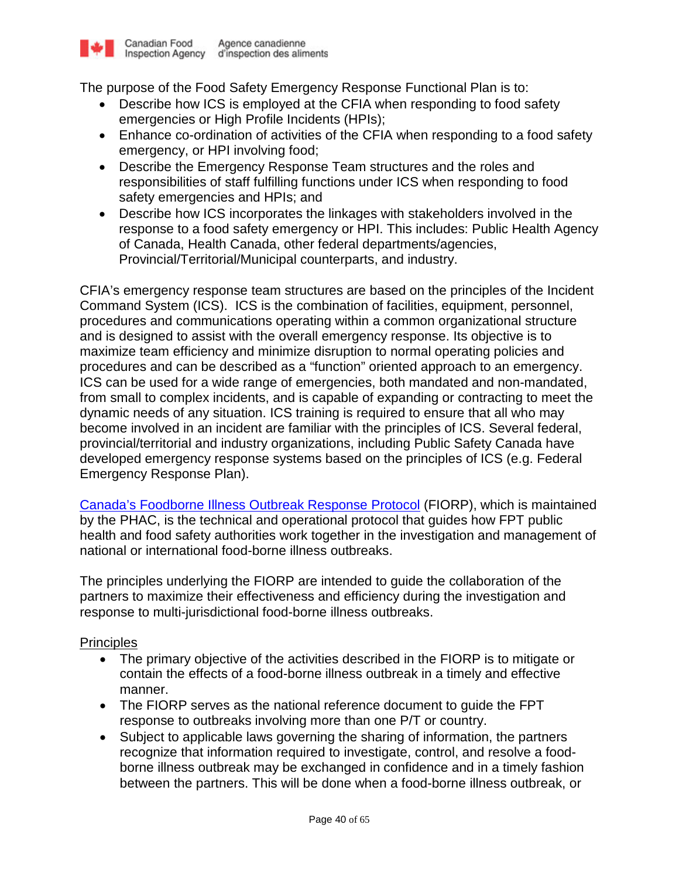

The purpose of the Food Safety Emergency Response Functional Plan is to:

- Describe how ICS is employed at the CFIA when responding to food safety emergencies or High Profile Incidents (HPIs);
- Enhance co-ordination of activities of the CFIA when responding to a food safety emergency, or HPI involving food;
- Describe the Emergency Response Team structures and the roles and responsibilities of staff fulfilling functions under ICS when responding to food safety emergencies and HPIs; and
- Describe how ICS incorporates the linkages with stakeholders involved in the response to a food safety emergency or HPI. This includes: Public Health Agency of Canada, Health Canada, other federal departments/agencies, Provincial/Territorial/Municipal counterparts, and industry.

CFIA's emergency response team structures are based on the principles of the Incident Command System (ICS). ICS is the combination of facilities, equipment, personnel, procedures and communications operating within a common organizational structure and is designed to assist with the overall emergency response. Its objective is to maximize team efficiency and minimize disruption to normal operating policies and procedures and can be described as a "function" oriented approach to an emergency. ICS can be used for a wide range of emergencies, both mandated and non-mandated, from small to complex incidents, and is capable of expanding or contracting to meet the dynamic needs of any situation. ICS training is required to ensure that all who may become involved in an incident are familiar with the principles of ICS. Several federal, provincial/territorial and industry organizations, including Public Safety Canada have developed emergency response systems based on the principles of ICS (e.g. Federal Emergency Response Plan).

[Canada's Foodborne Illness Outbreak Response Protocol](http://www.phac-aspc.gc.ca/zoono/fiorp-mitioa/index-eng.php) (FIORP), which is maintained by the PHAC, is the technical and operational protocol that guides how FPT public health and food safety authorities work together in the investigation and management of national or international food-borne illness outbreaks.

The principles underlying the FIORP are intended to guide the collaboration of the partners to maximize their effectiveness and efficiency during the investigation and response to multi-jurisdictional food-borne illness outbreaks.

#### **Principles**

- The primary objective of the activities described in the FIORP is to mitigate or contain the effects of a food-borne illness outbreak in a timely and effective manner.
- The FIORP serves as the national reference document to guide the FPT response to outbreaks involving more than one P/T or country.
- Subject to applicable laws governing the sharing of information, the partners recognize that information required to investigate, control, and resolve a foodborne illness outbreak may be exchanged in confidence and in a timely fashion between the partners. This will be done when a food-borne illness outbreak, or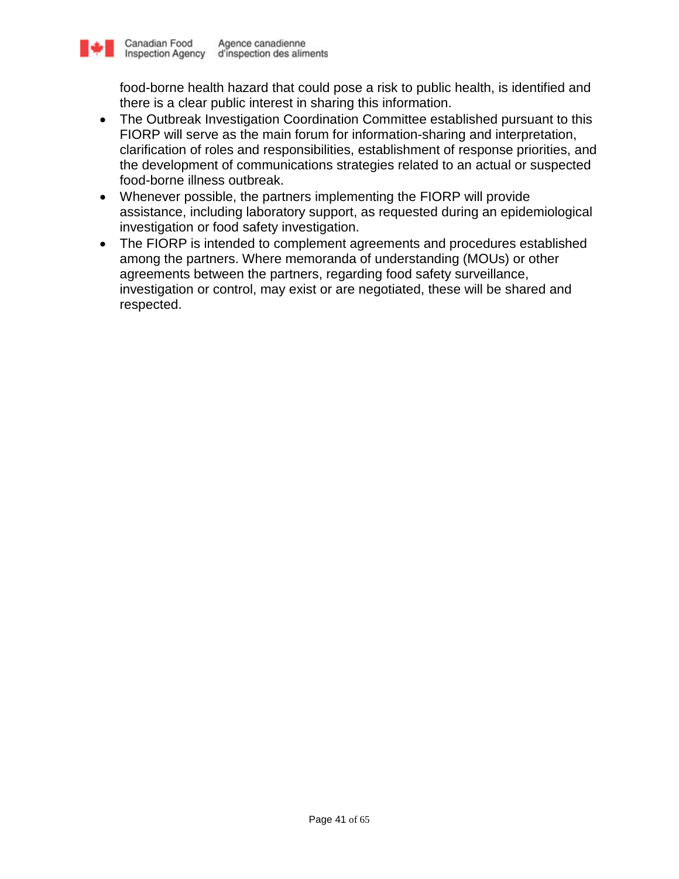

food-borne health hazard that could pose a risk to public health, is identified and there is a clear public interest in sharing this information.

- The Outbreak Investigation Coordination Committee established pursuant to this FIORP will serve as the main forum for information-sharing and interpretation, clarification of roles and responsibilities, establishment of response priorities, and the development of communications strategies related to an actual or suspected food-borne illness outbreak.
- Whenever possible, the partners implementing the FIORP will provide assistance, including laboratory support, as requested during an epidemiological investigation or food safety investigation.
- The FIORP is intended to complement agreements and procedures established among the partners. Where memoranda of understanding (MOUs) or other agreements between the partners, regarding food safety surveillance, investigation or control, may exist or are negotiated, these will be shared and respected.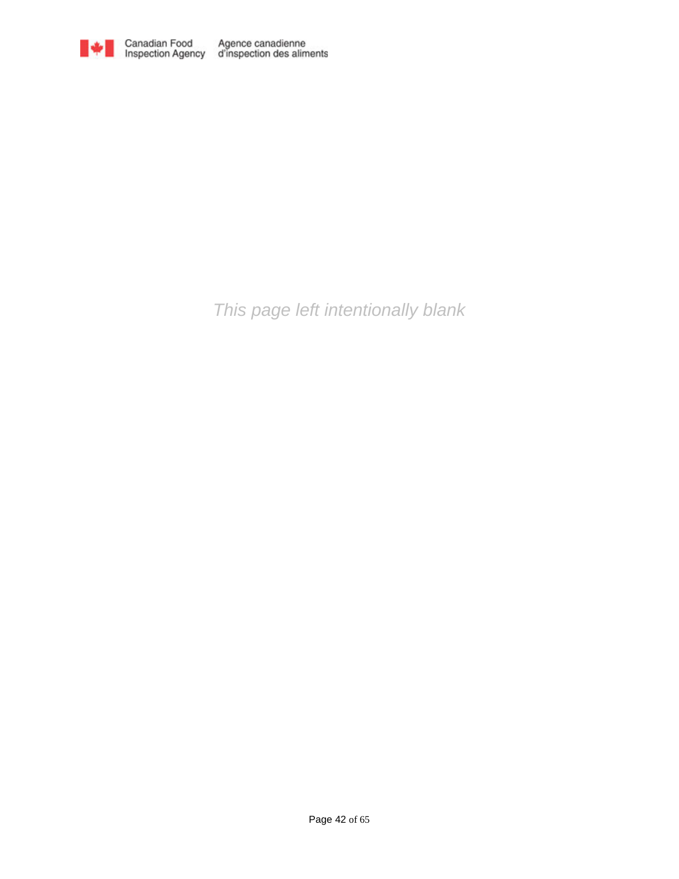

Canadian Food Agence canadienne<br>Inspection Agency d'inspection des aliments

*This page left intentionally blank*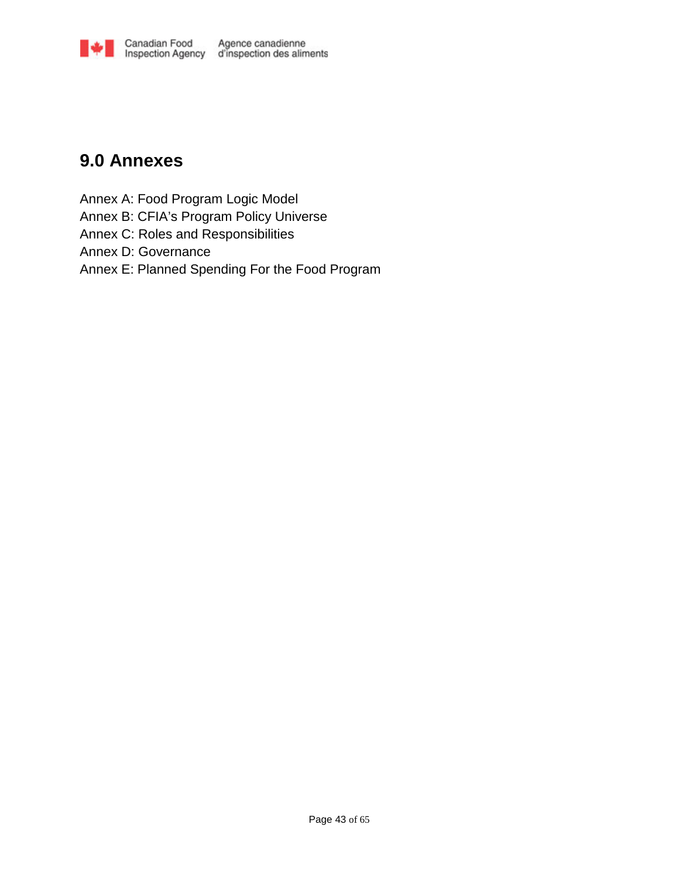

# <span id="page-42-0"></span>**9.0 Annexes**

- Annex A: Food Program Logic Model
- Annex B: CFIA's Program Policy Universe
- Annex C: Roles and Responsibilities
- Annex D: Governance
- Annex E: Planned Spending For the Food Program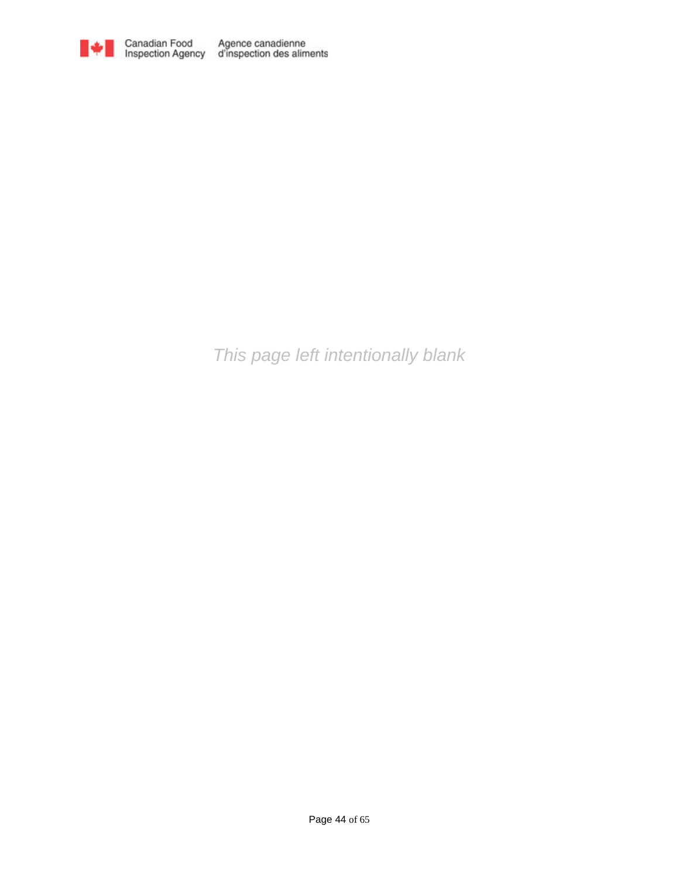

Canadian Food Agence canadienne<br>Inspection Agency d'inspection des aliments

*This page left intentionally blank*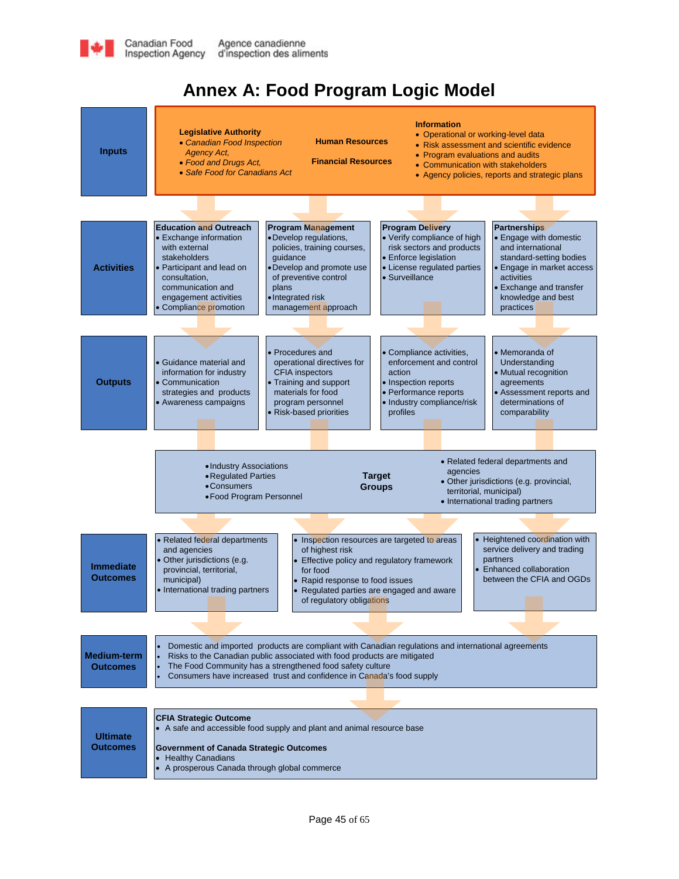

# **Annex A: Food Program Logic Model**

<span id="page-44-0"></span>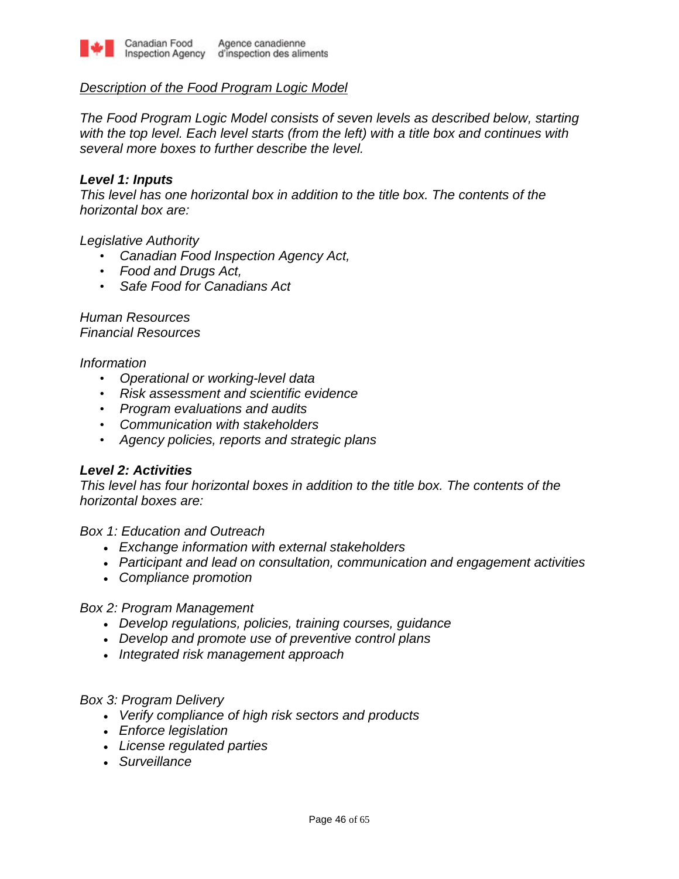

#### *Description of the Food Program Logic Model*

*The Food Program Logic Model consists of seven levels as described below, starting with the top level. Each level starts (from the left) with a title box and continues with several more boxes to further describe the level.*

#### *Level 1: Inputs*

*This level has one horizontal box in addition to the title box. The contents of the horizontal box are:*

*Legislative Authority*

- *Canadian Food Inspection Agency Act,*
- *Food and Drugs Act,*
- *Safe Food for Canadians Act*

*Human Resources Financial Resources*

#### *Information*

- *Operational or working-level data*
- *Risk assessment and scientific evidence*
- *Program evaluations and audits*
- *Communication with stakeholders*
- *Agency policies, reports and strategic plans*

#### *Level 2: Activities*

*This level has four horizontal boxes in addition to the title box. The contents of the horizontal boxes are:*

*Box 1: Education and Outreach*

- *Exchange information with external stakeholders*
- *Participant and lead on consultation, communication and engagement activities*
- *Compliance promotion*

#### *Box 2: Program Management*

- *Develop regulations, policies, training courses, guidance*
- *Develop and promote use of preventive control plans*
- *Integrated risk management approach*

#### *Box 3: Program Delivery*

- *Verify compliance of high risk sectors and products*
- *Enforce legislation*
- *License regulated parties*
- *Surveillance*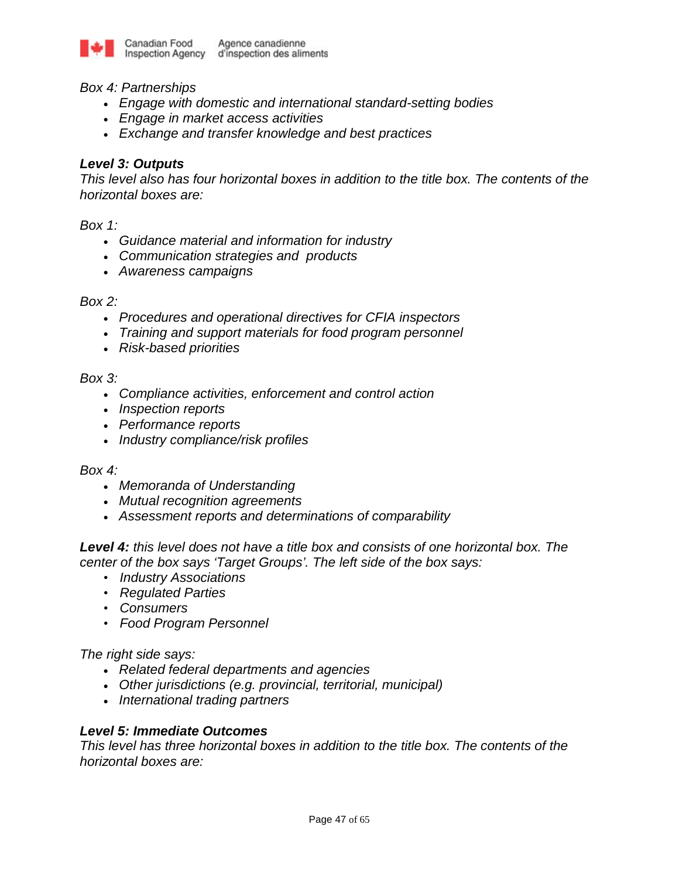

*Box 4: Partnerships*

- *Engage with domestic and international standard-setting bodies*
- *Engage in market access activities*
- *Exchange and transfer knowledge and best practices*

#### *Level 3: Outputs*

*This level also has four horizontal boxes in addition to the title box. The contents of the horizontal boxes are:*

*Box 1:*

- *Guidance material and information for industry*
- *Communication strategies and products*
- *Awareness campaigns*

#### *Box 2:*

- *Procedures and operational directives for CFIA inspectors*
- *Training and support materials for food program personnel*
- *Risk-based priorities*

#### *Box 3:*

- *Compliance activities, enforcement and control action*
- *Inspection reports*
- *Performance reports*
- *Industry compliance/risk profiles*

#### *Box 4:*

- *Memoranda of Understanding*
- *Mutual recognition agreements*
- *Assessment reports and determinations of comparability*

*Level 4: this level does not have a title box and consists of one horizontal box. The center of the box says 'Target Groups'. The left side of the box says:*

- *Industry Associations*
- *Regulated Parties*
- *Consumers*
- *Food Program Personnel*

*The right side says:*

- *Related federal departments and agencies*
- *Other jurisdictions (e.g. provincial, territorial, municipal)*
- *International trading partners*

#### *Level 5: Immediate Outcomes*

*This level has three horizontal boxes in addition to the title box. The contents of the horizontal boxes are:*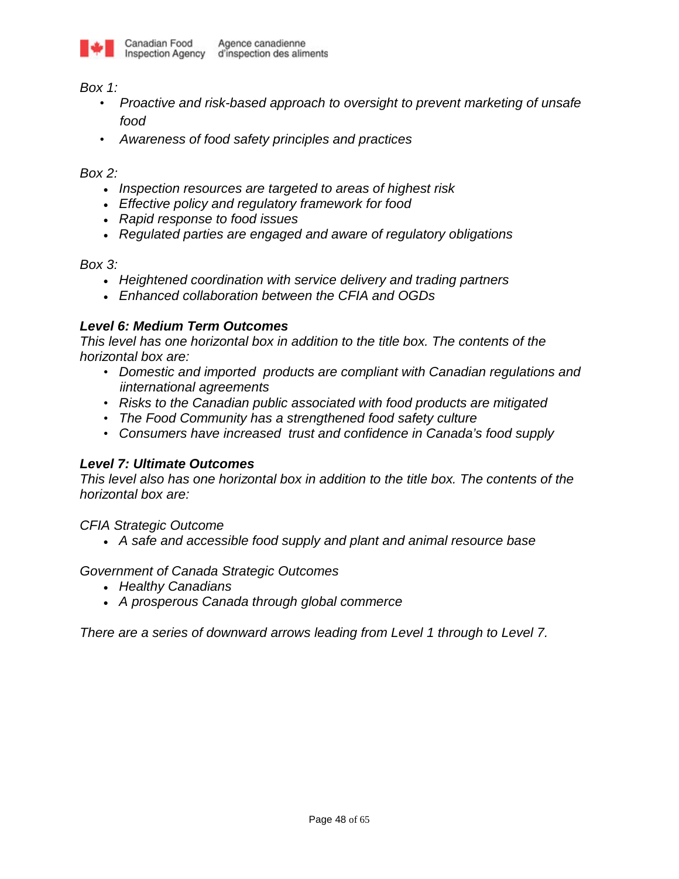

*Box 1:*

- *Proactive and risk-based approach to oversight to prevent marketing of unsafe food*
- *Awareness of food safety principles and practices*

*Box 2:*

- *Inspection resources are targeted to areas of highest risk*
- *Effective policy and regulatory framework for food*
- *Rapid response to food issues*
- *Regulated parties are engaged and aware of regulatory obligations*

*Box 3:*

- *Heightened coordination with service delivery and trading partners*
- *Enhanced collaboration between the CFIA and OGDs*

#### *Level 6: Medium Term Outcomes*

*This level has one horizontal box in addition to the title box. The contents of the horizontal box are:*

- *Domestic and imported products are compliant with Canadian regulations and iinternational agreements*
- *Risks to the Canadian public associated with food products are mitigated*
- *The Food Community has a strengthened food safety culture*
- *Consumers have increased trust and confidence in Canada's food supply*

#### *Level 7: Ultimate Outcomes*

*This level also has one horizontal box in addition to the title box. The contents of the horizontal box are:*

*CFIA Strategic Outcome*

• *A safe and accessible food supply and plant and animal resource base*

*Government of Canada Strategic Outcomes*

- *Healthy Canadians*
- *A prosperous Canada through global commerce*

*There are a series of downward arrows leading from Level 1 through to Level 7.*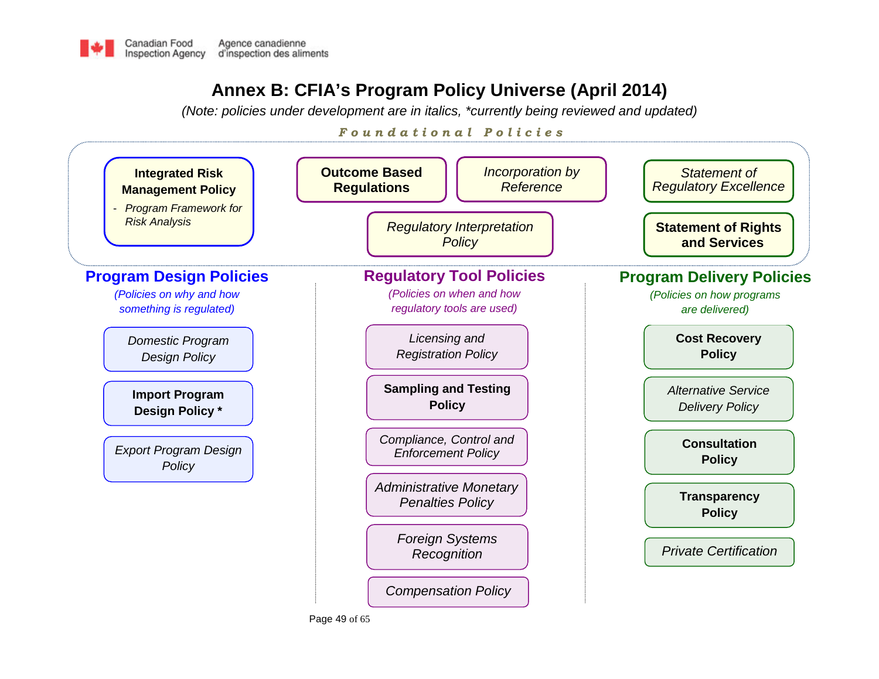

# **Annex B: CFIA's Program Policy Universe (April 2014)**

*(Note: policies under development are in italics, \*currently being reviewed and updated)*

#### *F o u n d a t i o n a l P o l i c i e s*

<span id="page-48-0"></span>

Page 49 of 65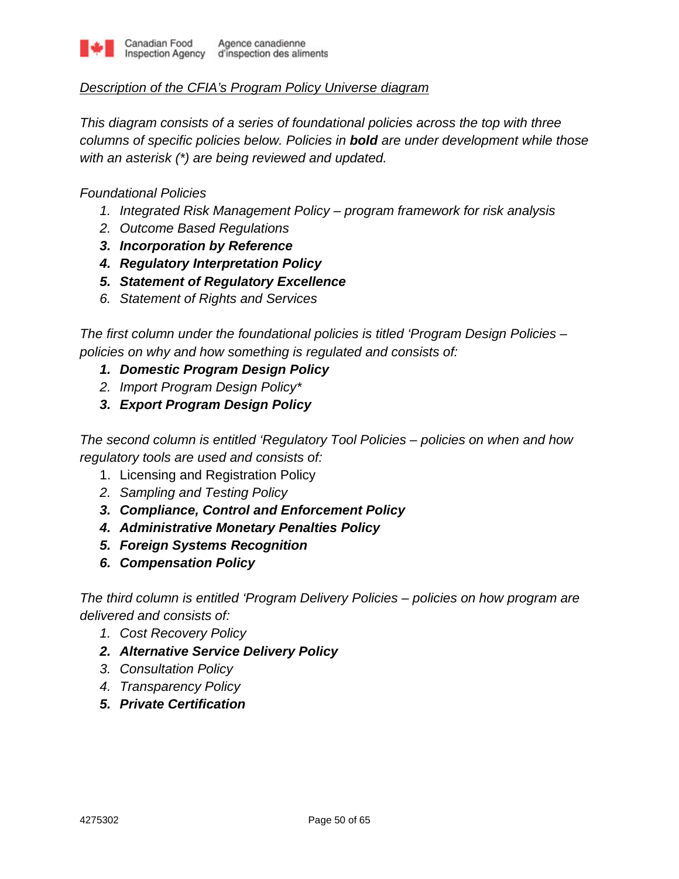

#### *Description of the CFIA's Program Policy Universe diagram*

*This diagram consists of a series of foundational policies across the top with three columns of specific policies below. Policies in bold are under development while those with an asterisk (\*) are being reviewed and updated.*

*Foundational Policies*

- *1. Integrated Risk Management Policy – program framework for risk analysis*
- *2. Outcome Based Regulations*
- *3. Incorporation by Reference*
- *4. Regulatory Interpretation Policy*
- *5. Statement of Regulatory Excellence*
- *6. Statement of Rights and Services*

*The first column under the foundational policies is titled 'Program Design Policies – policies on why and how something is regulated and consists of:*

- *1. Domestic Program Design Policy*
- *2. Import Program Design Policy\**
- *3. Export Program Design Policy*

*The second column is entitled 'Regulatory Tool Policies – policies on when and how regulatory tools are used and consists of:*

- 1. Licensing and Registration Policy
- *2. Sampling and Testing Policy*
- *3. Compliance, Control and Enforcement Policy*
- *4. Administrative Monetary Penalties Policy*
- *5. Foreign Systems Recognition*
- *6. Compensation Policy*

*The third column is entitled 'Program Delivery Policies – policies on how program are delivered and consists of:*

- *1. Cost Recovery Policy*
- *2. Alternative Service Delivery Policy*
- *3. Consultation Policy*
- *4. Transparency Policy*
- *5. Private Certification*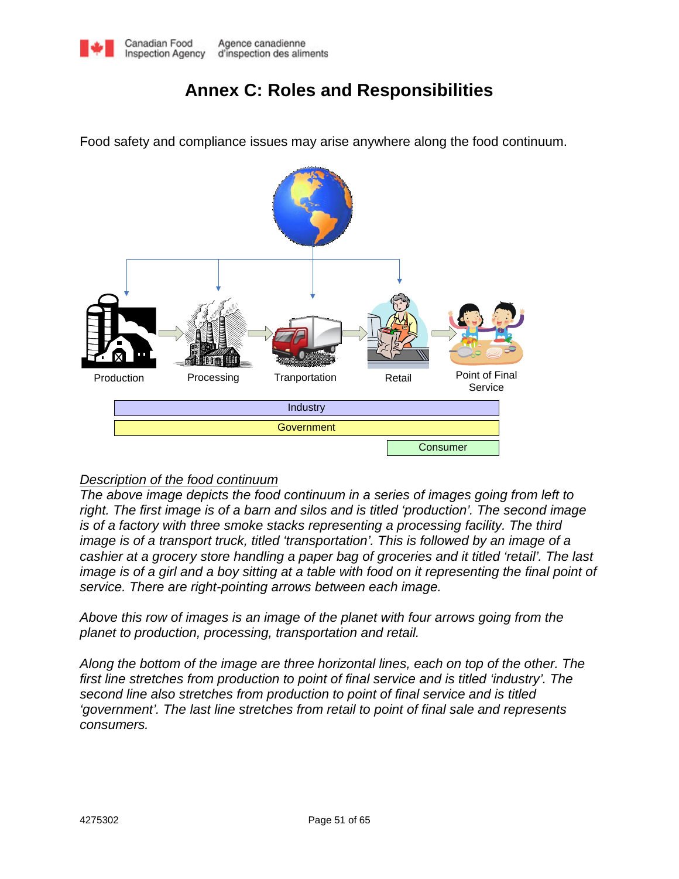<span id="page-50-0"></span>

# **Annex C: Roles and Responsibilities**

Food safety and compliance issues may arise anywhere along the food continuum.



#### *Description of the food continuum*

*The above image depicts the food continuum in a series of images going from left to right. The first image is of a barn and silos and is titled 'production'. The second image is of a factory with three smoke stacks representing a processing facility. The third image is of a transport truck, titled 'transportation'. This is followed by an image of a cashier at a grocery store handling a paper bag of groceries and it titled 'retail'. The last image is of a girl and a boy sitting at a table with food on it representing the final point of service. There are right-pointing arrows between each image.*

*Above this row of images is an image of the planet with four arrows going from the planet to production, processing, transportation and retail.* 

*Along the bottom of the image are three horizontal lines, each on top of the other. The first line stretches from production to point of final service and is titled 'industry'. The second line also stretches from production to point of final service and is titled 'government'. The last line stretches from retail to point of final sale and represents consumers.*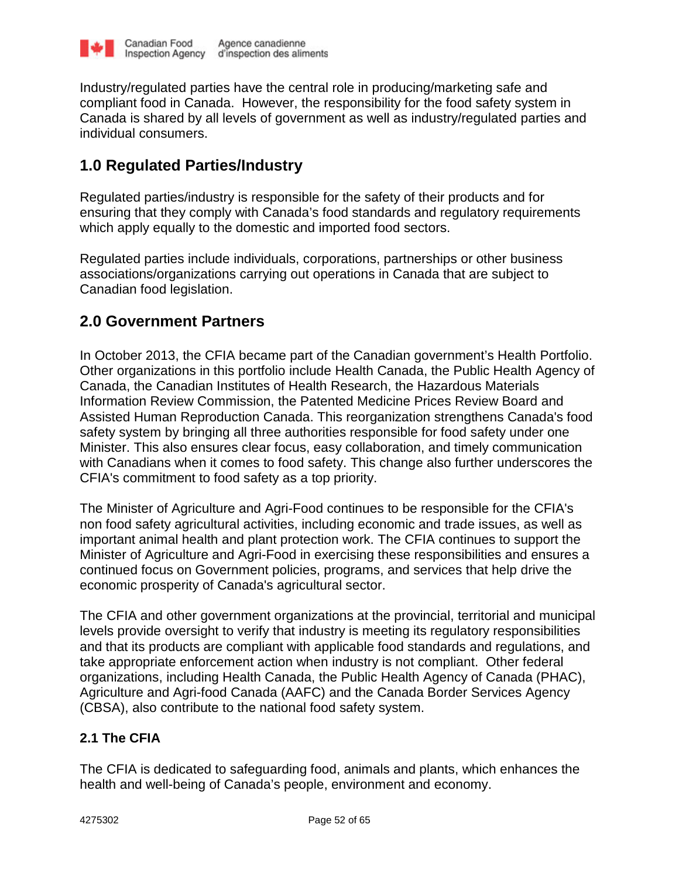

Industry/regulated parties have the central role in producing/marketing safe and compliant food in Canada. However, the responsibility for the food safety system in Canada is shared by all levels of government as well as industry/regulated parties and individual consumers.

## **1.0 Regulated Parties/Industry**

Regulated parties/industry is responsible for the safety of their products and for ensuring that they comply with Canada's food standards and regulatory requirements which apply equally to the domestic and imported food sectors.

Regulated parties include individuals, corporations, partnerships or other business associations/organizations carrying out operations in Canada that are subject to Canadian food legislation.

### **2.0 Government Partners**

In October 2013, the CFIA became part of the Canadian government's Health Portfolio. Other organizations in this portfolio include Health Canada, the Public Health Agency of Canada, the Canadian Institutes of Health Research, the Hazardous Materials Information Review Commission, the Patented Medicine Prices Review Board and Assisted Human Reproduction Canada. This reorganization strengthens Canada's food safety system by bringing all three authorities responsible for food safety under one Minister. This also ensures clear focus, easy collaboration, and timely communication with Canadians when it comes to food safety. This change also further underscores the CFIA's commitment to food safety as a top priority.

The Minister of Agriculture and Agri-Food continues to be responsible for the CFIA's non food safety agricultural activities, including economic and trade issues, as well as important animal health and plant protection work. The CFIA continues to support the Minister of Agriculture and Agri-Food in exercising these responsibilities and ensures a continued focus on Government policies, programs, and services that help drive the economic prosperity of Canada's agricultural sector.

The CFIA and other government organizations at the provincial, territorial and municipal levels provide oversight to verify that industry is meeting its regulatory responsibilities and that its products are compliant with applicable food standards and regulations, and take appropriate enforcement action when industry is not compliant. Other federal organizations, including Health Canada, the Public Health Agency of Canada (PHAC), Agriculture and Agri-food Canada (AAFC) and the Canada Border Services Agency (CBSA), also contribute to the national food safety system.

#### **2.1 The CFIA**

The CFIA is dedicated to safeguarding food, animals and plants, which enhances the health and well-being of Canada's people, environment and economy.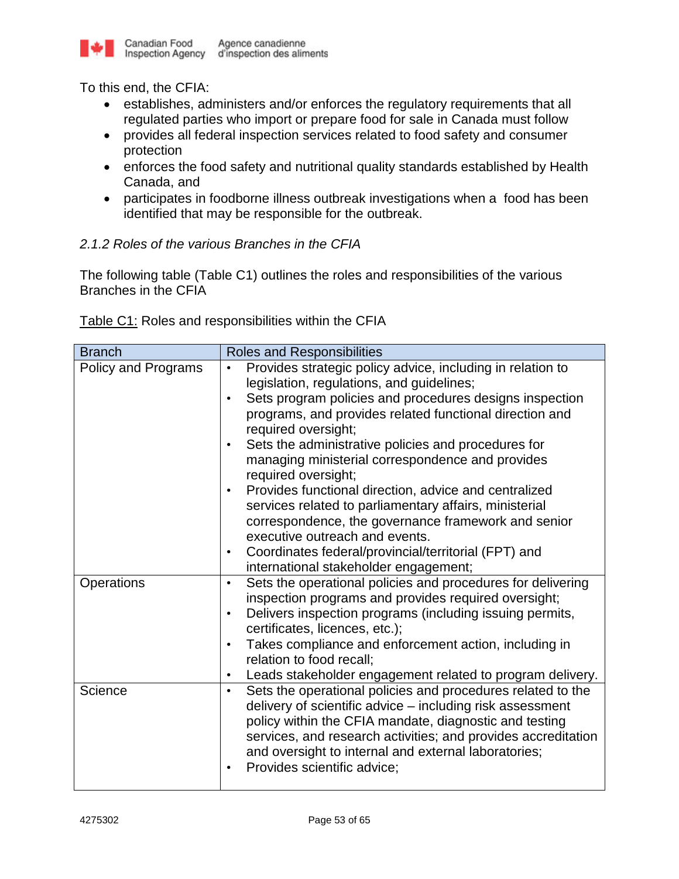

To this end, the CFIA:

- establishes, administers and/or enforces the regulatory requirements that all regulated parties who import or prepare food for sale in Canada must follow
- provides all federal inspection services related to food safety and consumer protection
- enforces the food safety and nutritional quality standards established by Health Canada, and
- participates in foodborne illness outbreak investigations when a food has been identified that may be responsible for the outbreak.

#### *2.1.2 Roles of the various Branches in the CFIA*

The following table (Table C1) outlines the roles and responsibilities of the various Branches in the CFIA

| <b>Branch</b>       | <b>Roles and Responsibilities</b>                                                                                                                                                                                                                                                                                                                                                                                                                                                                                                                                                                                                                                                                                                                       |  |  |  |
|---------------------|---------------------------------------------------------------------------------------------------------------------------------------------------------------------------------------------------------------------------------------------------------------------------------------------------------------------------------------------------------------------------------------------------------------------------------------------------------------------------------------------------------------------------------------------------------------------------------------------------------------------------------------------------------------------------------------------------------------------------------------------------------|--|--|--|
| Policy and Programs | Provides strategic policy advice, including in relation to<br>legislation, regulations, and guidelines;<br>Sets program policies and procedures designs inspection<br>$\bullet$<br>programs, and provides related functional direction and<br>required oversight;<br>Sets the administrative policies and procedures for<br>$\bullet$<br>managing ministerial correspondence and provides<br>required oversight;<br>Provides functional direction, advice and centralized<br>$\bullet$<br>services related to parliamentary affairs, ministerial<br>correspondence, the governance framework and senior<br>executive outreach and events.<br>Coordinates federal/provincial/territorial (FPT) and<br>$\bullet$<br>international stakeholder engagement; |  |  |  |
| <b>Operations</b>   | Sets the operational policies and procedures for delivering<br>$\bullet$<br>inspection programs and provides required oversight;<br>Delivers inspection programs (including issuing permits,<br>$\bullet$<br>certificates, licences, etc.);<br>Takes compliance and enforcement action, including in<br>$\bullet$<br>relation to food recall;<br>Leads stakeholder engagement related to program delivery.<br>٠                                                                                                                                                                                                                                                                                                                                         |  |  |  |
| Science             | Sets the operational policies and procedures related to the<br>$\bullet$<br>delivery of scientific advice – including risk assessment<br>policy within the CFIA mandate, diagnostic and testing<br>services, and research activities; and provides accreditation<br>and oversight to internal and external laboratories;<br>Provides scientific advice;<br>$\bullet$                                                                                                                                                                                                                                                                                                                                                                                    |  |  |  |

Table C1: Roles and responsibilities within the CFIA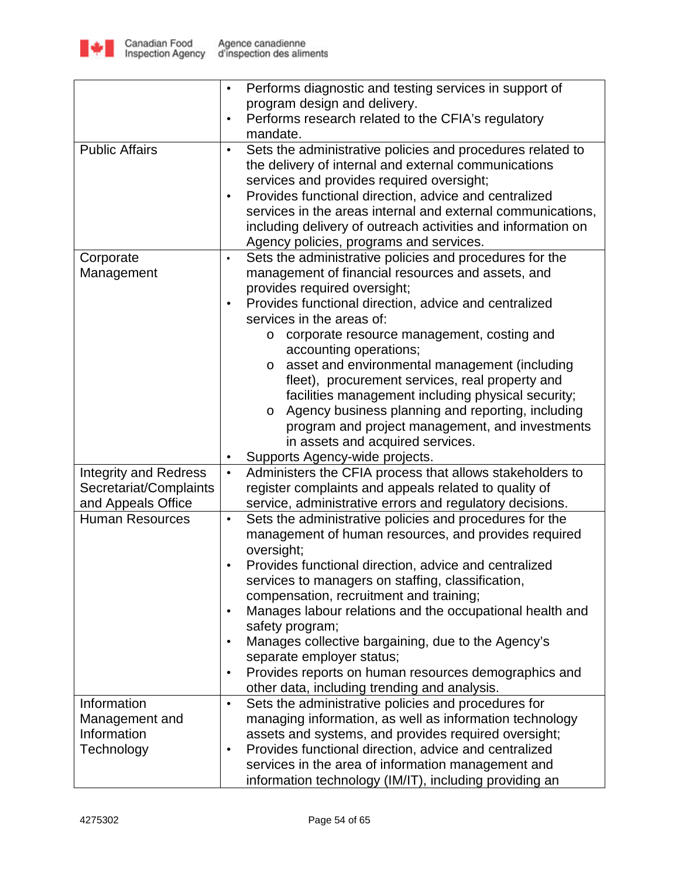

|                              | $\bullet$ | Performs diagnostic and testing services in support of                      |  |  |
|------------------------------|-----------|-----------------------------------------------------------------------------|--|--|
|                              |           | program design and delivery.                                                |  |  |
|                              |           | Performs research related to the CFIA's regulatory                          |  |  |
|                              |           | mandate.                                                                    |  |  |
| <b>Public Affairs</b>        | $\bullet$ | Sets the administrative policies and procedures related to                  |  |  |
|                              |           | the delivery of internal and external communications                        |  |  |
|                              |           | services and provides required oversight;                                   |  |  |
|                              |           | Provides functional direction, advice and centralized                       |  |  |
|                              |           | services in the areas internal and external communications,                 |  |  |
|                              |           | including delivery of outreach activities and information on                |  |  |
|                              |           | Agency policies, programs and services.                                     |  |  |
| Corporate                    | $\bullet$ | Sets the administrative policies and procedures for the                     |  |  |
| Management                   |           | management of financial resources and assets, and                           |  |  |
|                              |           | provides required oversight;                                                |  |  |
|                              |           | Provides functional direction, advice and centralized                       |  |  |
|                              |           | services in the areas of:                                                   |  |  |
|                              |           | corporate resource management, costing and<br>$\circ$                       |  |  |
|                              |           | accounting operations;                                                      |  |  |
|                              |           | asset and environmental management (including<br>$\circ$                    |  |  |
|                              |           | fleet), procurement services, real property and                             |  |  |
|                              |           | facilities management including physical security;                          |  |  |
|                              |           | Agency business planning and reporting, including<br>$\circ$                |  |  |
|                              |           | program and project management, and investments                             |  |  |
|                              |           | in assets and acquired services.                                            |  |  |
|                              |           | Supports Agency-wide projects.                                              |  |  |
| <b>Integrity and Redress</b> | $\bullet$ | Administers the CFIA process that allows stakeholders to                    |  |  |
| Secretariat/Complaints       |           | register complaints and appeals related to quality of                       |  |  |
| and Appeals Office           |           | service, administrative errors and regulatory decisions.                    |  |  |
| <b>Human Resources</b>       | $\bullet$ | Sets the administrative policies and procedures for the                     |  |  |
|                              |           | management of human resources, and provides required                        |  |  |
|                              |           | oversight;                                                                  |  |  |
|                              |           | Provides functional direction, advice and centralized                       |  |  |
|                              |           | services to managers on staffing, classification,                           |  |  |
|                              |           | compensation, recruitment and training;                                     |  |  |
|                              |           | Manages labour relations and the occupational health and<br>safety program; |  |  |
|                              |           | Manages collective bargaining, due to the Agency's                          |  |  |
|                              |           | separate employer status;                                                   |  |  |
|                              | ٠         | Provides reports on human resources demographics and                        |  |  |
|                              |           | other data, including trending and analysis.                                |  |  |
| Information                  | $\bullet$ | Sets the administrative policies and procedures for                         |  |  |
| Management and               |           | managing information, as well as information technology                     |  |  |
| Information                  |           | assets and systems, and provides required oversight;                        |  |  |
| Technology                   |           | Provides functional direction, advice and centralized                       |  |  |
|                              |           | services in the area of information management and                          |  |  |
|                              |           | information technology (IM/IT), including providing an                      |  |  |
|                              |           |                                                                             |  |  |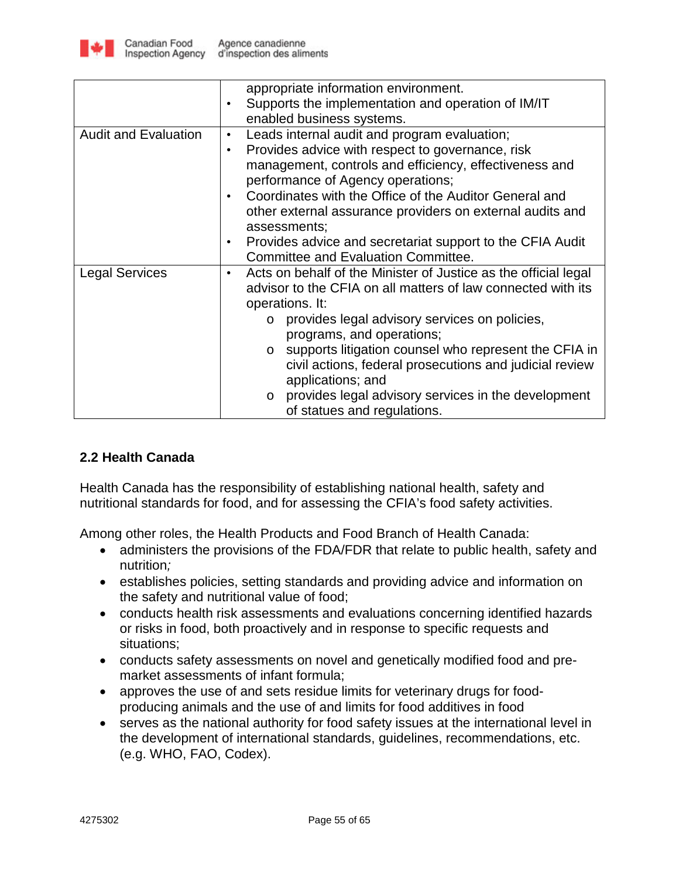

|                             | appropriate information environment.                                                                                                                                                                                                                                                                                                                                                                                                                                                                 |  |
|-----------------------------|------------------------------------------------------------------------------------------------------------------------------------------------------------------------------------------------------------------------------------------------------------------------------------------------------------------------------------------------------------------------------------------------------------------------------------------------------------------------------------------------------|--|
|                             | Supports the implementation and operation of IM/IT<br>$\bullet$                                                                                                                                                                                                                                                                                                                                                                                                                                      |  |
|                             | enabled business systems.                                                                                                                                                                                                                                                                                                                                                                                                                                                                            |  |
| <b>Audit and Evaluation</b> | Leads internal audit and program evaluation;<br>$\bullet$<br>Provides advice with respect to governance, risk<br>$\bullet$<br>management, controls and efficiency, effectiveness and<br>performance of Agency operations;<br>Coordinates with the Office of the Auditor General and<br>$\bullet$<br>other external assurance providers on external audits and<br>assessments;<br>Provides advice and secretariat support to the CFIA Audit<br>$\bullet$                                              |  |
|                             | Committee and Evaluation Committee.                                                                                                                                                                                                                                                                                                                                                                                                                                                                  |  |
| <b>Legal Services</b>       | Acts on behalf of the Minister of Justice as the official legal<br>$\bullet$<br>advisor to the CFIA on all matters of law connected with its<br>operations. It:<br>o provides legal advisory services on policies,<br>programs, and operations;<br>supports litigation counsel who represent the CFIA in<br>$\circ$<br>civil actions, federal prosecutions and judicial review<br>applications; and<br>provides legal advisory services in the development<br>$\circ$<br>of statues and regulations. |  |

#### **2.2 Health Canada**

Health Canada has the responsibility of establishing national health, safety and nutritional standards for food, and for assessing the CFIA's food safety activities.

Among other roles, the Health Products and Food Branch of Health Canada:

- administers the provisions of the FDA/FDR that relate to public health, safety and nutrition*;*
- establishes policies, setting standards and providing advice and information on the safety and nutritional value of food;
- conducts health risk assessments and evaluations concerning identified hazards or risks in food, both proactively and in response to specific requests and situations;
- conducts safety assessments on novel and genetically modified food and premarket assessments of infant formula;
- approves the use of and sets residue limits for veterinary drugs for foodproducing animals and the use of and limits for food additives in food
- serves as the national authority for food safety issues at the international level in the development of international standards, guidelines, recommendations, etc. (e.g. WHO, FAO, Codex).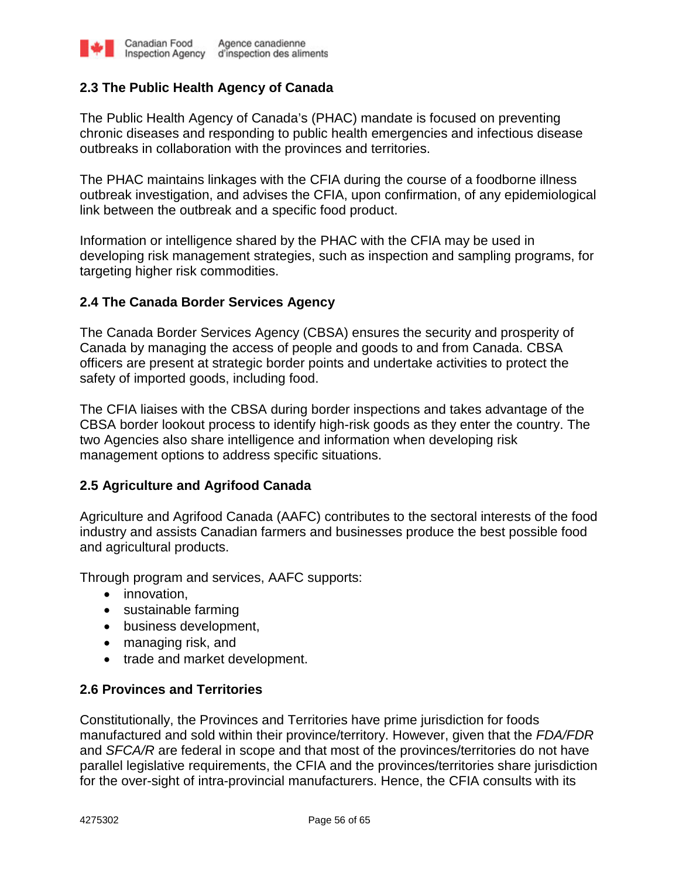

#### **2.3 The Public Health Agency of Canada**

The Public Health Agency of Canada's (PHAC) mandate is focused on preventing chronic diseases and responding to public health emergencies and infectious disease outbreaks in collaboration with the provinces and territories.

The PHAC maintains linkages with the CFIA during the course of a foodborne illness outbreak investigation, and advises the CFIA, upon confirmation, of any epidemiological link between the outbreak and a specific food product.

Information or intelligence shared by the PHAC with the CFIA may be used in developing risk management strategies, such as inspection and sampling programs, for targeting higher risk commodities.

#### **2.4 The Canada Border Services Agency**

The Canada Border Services Agency (CBSA) ensures the security and prosperity of Canada by managing the access of people and goods to and from Canada. CBSA officers are present at strategic border points and undertake activities to protect the safety of imported goods, including food.

The CFIA liaises with the CBSA during border inspections and takes advantage of the CBSA border lookout process to identify high-risk goods as they enter the country. The two Agencies also share intelligence and information when developing risk management options to address specific situations.

#### **2.5 Agriculture and Agrifood Canada**

Agriculture and Agrifood Canada (AAFC) contributes to the sectoral interests of the food industry and assists Canadian farmers and businesses produce the best possible food and agricultural products.

Through program and services, AAFC supports:

- innovation,
- sustainable farming
- business development,
- managing risk, and
- trade and market development.

#### **2.6 Provinces and Territories**

Constitutionally, the Provinces and Territories have prime jurisdiction for foods manufactured and sold within their province/territory. However, given that the *FDA/FDR* and *SFCA/R* are federal in scope and that most of the provinces/territories do not have parallel legislative requirements, the CFIA and the provinces/territories share jurisdiction for the over-sight of intra-provincial manufacturers. Hence, the CFIA consults with its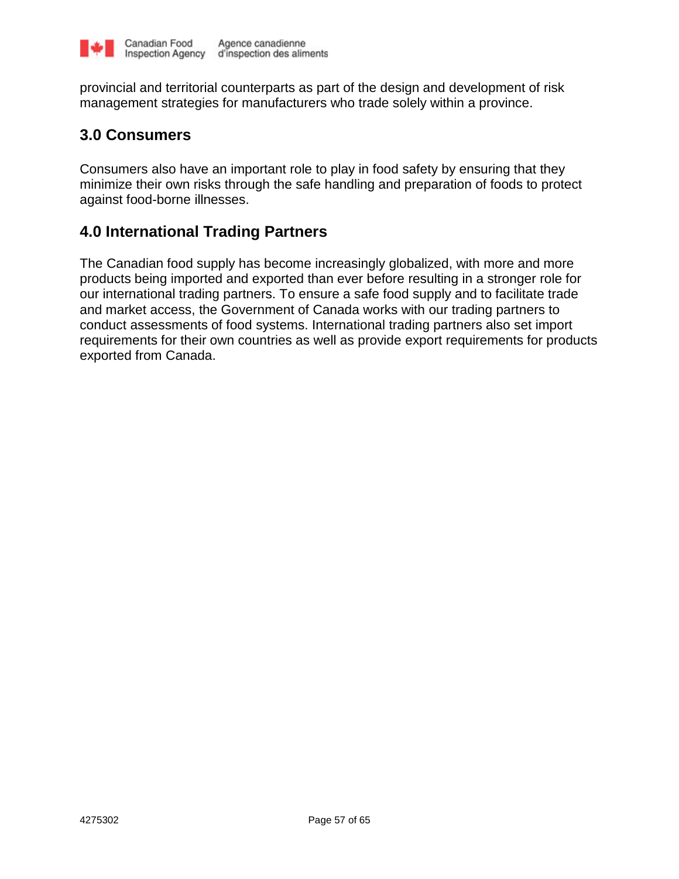

provincial and territorial counterparts as part of the design and development of risk management strategies for manufacturers who trade solely within a province.

### **3.0 Consumers**

Consumers also have an important role to play in food safety by ensuring that they minimize their own risks through the safe handling and preparation of foods to protect against food-borne illnesses.

### **4.0 International Trading Partners**

The Canadian food supply has become increasingly globalized, with more and more products being imported and exported than ever before resulting in a stronger role for our international trading partners. To ensure a safe food supply and to facilitate trade and market access, the Government of Canada works with our trading partners to conduct assessments of food systems. International trading partners also set import requirements for their own countries as well as provide export requirements for products exported from Canada.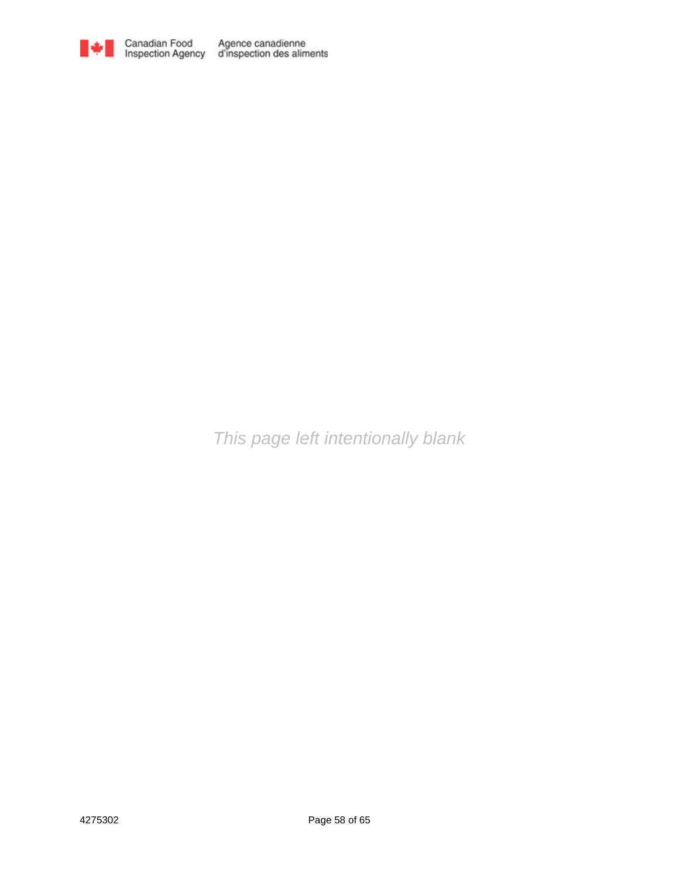

Canadian Food Agence canadienne<br>Inspection Agency d'inspection des aliments

*This page left intentionally blank*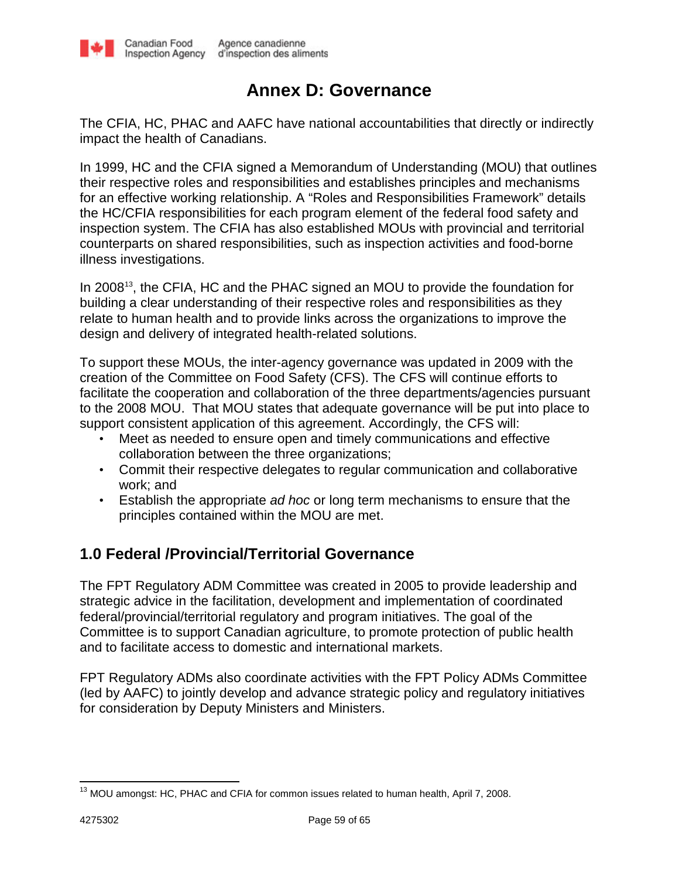

# **Annex D: Governance**

<span id="page-58-0"></span>The CFIA, HC, PHAC and AAFC have national accountabilities that directly or indirectly impact the health of Canadians.

In 1999, HC and the CFIA signed a Memorandum of Understanding (MOU) that outlines their respective roles and responsibilities and establishes principles and mechanisms for an effective working relationship. A "Roles and Responsibilities Framework" details the HC/CFIA responsibilities for each program element of the federal food safety and inspection system. The CFIA has also established MOUs with provincial and territorial counterparts on shared responsibilities, such as inspection activities and food-borne illness investigations.

In 2008<sup>13</sup>, the CFIA, HC and the PHAC signed an MOU to provide the foundation for building a clear understanding of their respective roles and responsibilities as they relate to human health and to provide links across the organizations to improve the design and delivery of integrated health-related solutions.

To support these MOUs, the inter-agency governance was updated in 2009 with the creation of the Committee on Food Safety (CFS). The CFS will continue efforts to facilitate the cooperation and collaboration of the three departments/agencies pursuant to the 2008 MOU. That MOU states that adequate governance will be put into place to support consistent application of this agreement. Accordingly, the CFS will:

- Meet as needed to ensure open and timely communications and effective collaboration between the three organizations;
- Commit their respective delegates to regular communication and collaborative work; and
- Establish the appropriate *ad hoc* or long term mechanisms to ensure that the principles contained within the MOU are met.

# **1.0 Federal /Provincial/Territorial Governance**

The FPT Regulatory ADM Committee was created in 2005 to provide leadership and strategic advice in the facilitation, development and implementation of coordinated federal/provincial/territorial regulatory and program initiatives. The goal of the Committee is to support Canadian agriculture, to promote protection of public health and to facilitate access to domestic and international markets.

FPT Regulatory ADMs also coordinate activities with the FPT Policy ADMs Committee (led by AAFC) to jointly develop and advance strategic policy and regulatory initiatives for consideration by Deputy Ministers and Ministers.

<span id="page-58-1"></span><sup>&</sup>lt;sup>13</sup> MOU amongst: HC, PHAC and CFIA for common issues related to human health, April 7, 2008.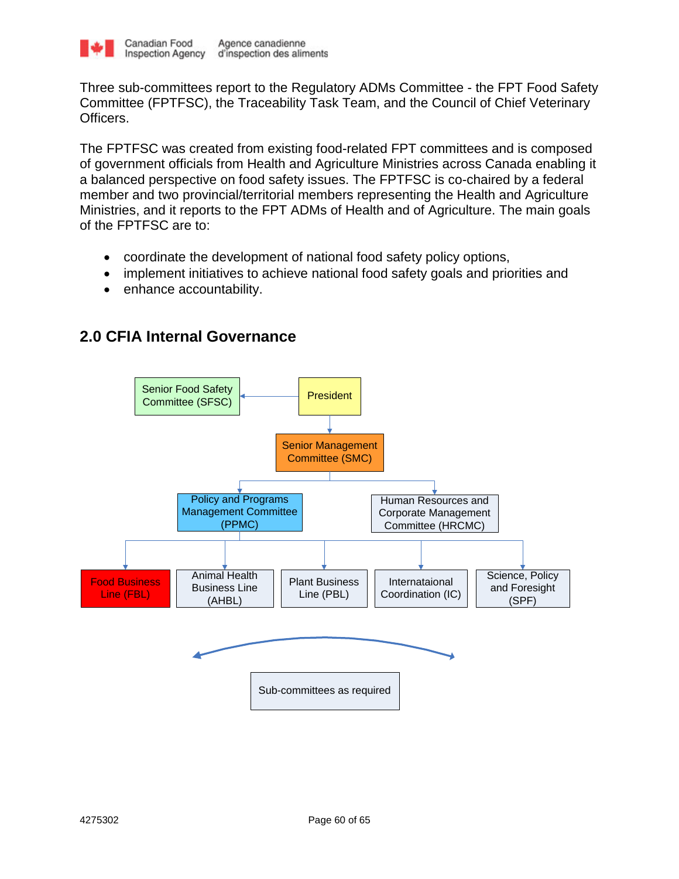

Three sub-committees report to the Regulatory ADMs Committee - the FPT Food Safety Committee (FPTFSC), the Traceability Task Team, and the Council of Chief Veterinary Officers.

The FPTFSC was created from existing food-related FPT committees and is composed of government officials from Health and Agriculture Ministries across Canada enabling it a balanced perspective on food safety issues. The FPTFSC is co-chaired by a federal member and two provincial/territorial members representing the Health and Agriculture Ministries, and it reports to the FPT ADMs of Health and of Agriculture. The main goals of the FPTFSC are to:

- coordinate the development of national food safety policy options,
- implement initiatives to achieve national food safety goals and priorities and
- enhance accountability.

### **2.0 CFIA Internal Governance**

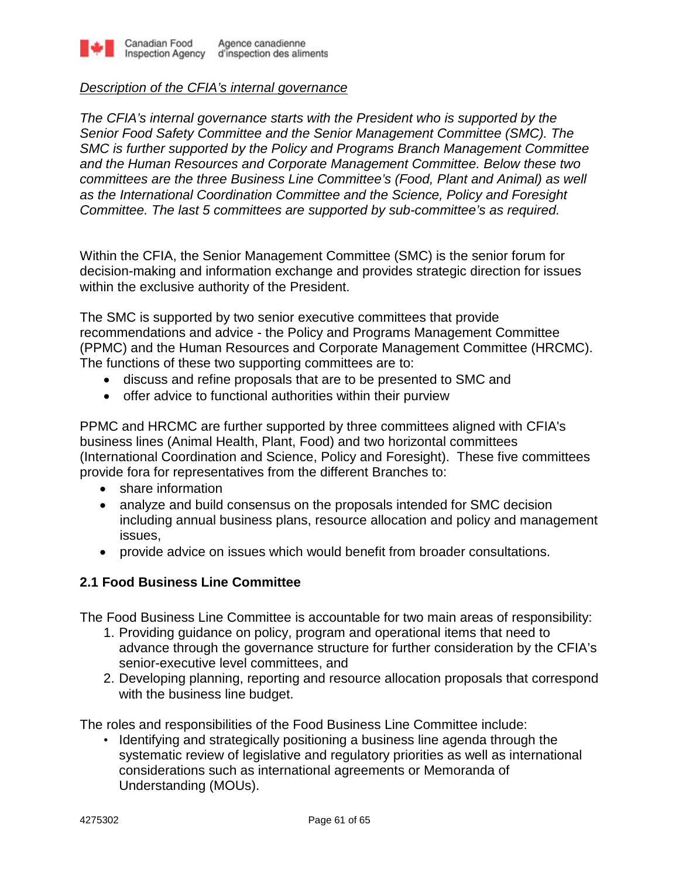

#### *Description of the CFIA's internal governance*

*The CFIA's internal governance starts with the President who is supported by the Senior Food Safety Committee and the Senior Management Committee (SMC). The SMC is further supported by the Policy and Programs Branch Management Committee and the Human Resources and Corporate Management Committee. Below these two committees are the three Business Line Committee's (Food, Plant and Animal) as well as the International Coordination Committee and the Science, Policy and Foresight Committee. The last 5 committees are supported by sub-committee's as required.*

Within the CFIA, the Senior Management Committee (SMC) is the senior forum for decision-making and information exchange and provides strategic direction for issues within the exclusive authority of the President.

The SMC is supported by two senior executive committees that provide recommendations and advice - the Policy and Programs Management Committee (PPMC) and the Human Resources and Corporate Management Committee (HRCMC). The functions of these two supporting committees are to:

- discuss and refine proposals that are to be presented to SMC and
- offer advice to functional authorities within their purview

PPMC and HRCMC are further supported by three committees aligned with CFIA's business lines (Animal Health, Plant, Food) and two horizontal committees (International Coordination and Science, Policy and Foresight). These five committees provide fora for representatives from the different Branches to:

- share information
- analyze and build consensus on the proposals intended for SMC decision including annual business plans, resource allocation and policy and management issues,
- provide advice on issues which would benefit from broader consultations.

#### **2.1 Food Business Line Committee**

The Food Business Line Committee is accountable for two main areas of responsibility:

- 1. Providing guidance on policy, program and operational items that need to advance through the governance structure for further consideration by the CFIA's senior-executive level committees, and
- 2. Developing planning, reporting and resource allocation proposals that correspond with the business line budget.

The roles and responsibilities of the Food Business Line Committee include:

• Identifying and strategically positioning a business line agenda through the systematic review of legislative and regulatory priorities as well as international considerations such as international agreements or Memoranda of Understanding (MOUs).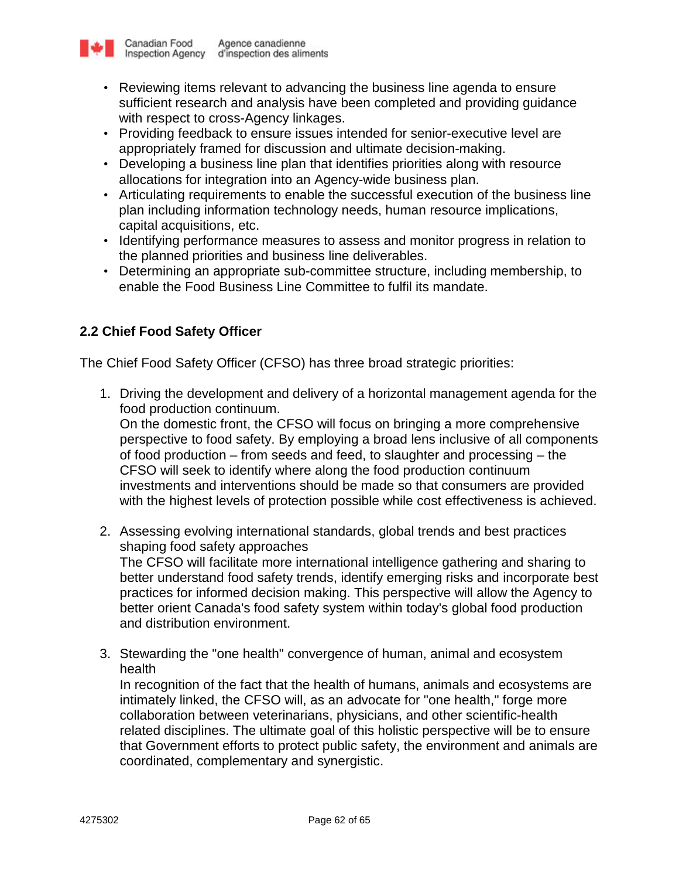

- Reviewing items relevant to advancing the business line agenda to ensure sufficient research and analysis have been completed and providing guidance with respect to cross-Agency linkages.
- Providing feedback to ensure issues intended for senior-executive level are appropriately framed for discussion and ultimate decision-making.
- Developing a business line plan that identifies priorities along with resource allocations for integration into an Agency-wide business plan.
- Articulating requirements to enable the successful execution of the business line plan including information technology needs, human resource implications, capital acquisitions, etc.
- Identifying performance measures to assess and monitor progress in relation to the planned priorities and business line deliverables.
- Determining an appropriate sub-committee structure, including membership, to enable the Food Business Line Committee to fulfil its mandate.

### **2.2 Chief Food Safety Officer**

The Chief Food Safety Officer (CFSO) has three broad strategic priorities:

1. Driving the development and delivery of a horizontal management agenda for the food production continuum.

On the domestic front, the CFSO will focus on bringing a more comprehensive perspective to food safety. By employing a broad lens inclusive of all components of food production – from seeds and feed, to slaughter and processing – the CFSO will seek to identify where along the food production continuum investments and interventions should be made so that consumers are provided with the highest levels of protection possible while cost effectiveness is achieved.

- 2. Assessing evolving international standards, global trends and best practices shaping food safety approaches The CFSO will facilitate more international intelligence gathering and sharing to better understand food safety trends, identify emerging risks and incorporate best practices for informed decision making. This perspective will allow the Agency to better orient Canada's food safety system within today's global food production and distribution environment.
- 3. Stewarding the "one health" convergence of human, animal and ecosystem health

In recognition of the fact that the health of humans, animals and ecosystems are intimately linked, the CFSO will, as an advocate for "one health," forge more collaboration between veterinarians, physicians, and other scientific-health related disciplines. The ultimate goal of this holistic perspective will be to ensure that Government efforts to protect public safety, the environment and animals are coordinated, complementary and synergistic.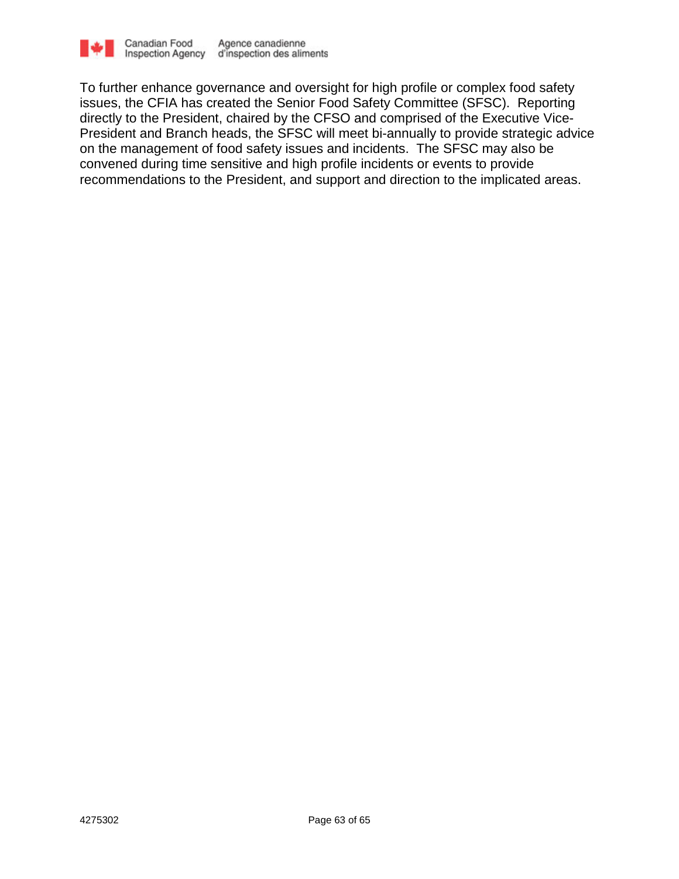

To further enhance governance and oversight for high profile or complex food safety issues, the CFIA has created the Senior Food Safety Committee (SFSC). Reporting directly to the President, chaired by the CFSO and comprised of the Executive Vice-President and Branch heads, the SFSC will meet bi-annually to provide strategic advice on the management of food safety issues and incidents. The SFSC may also be convened during time sensitive and high profile incidents or events to provide recommendations to the President, and support and direction to the implicated areas.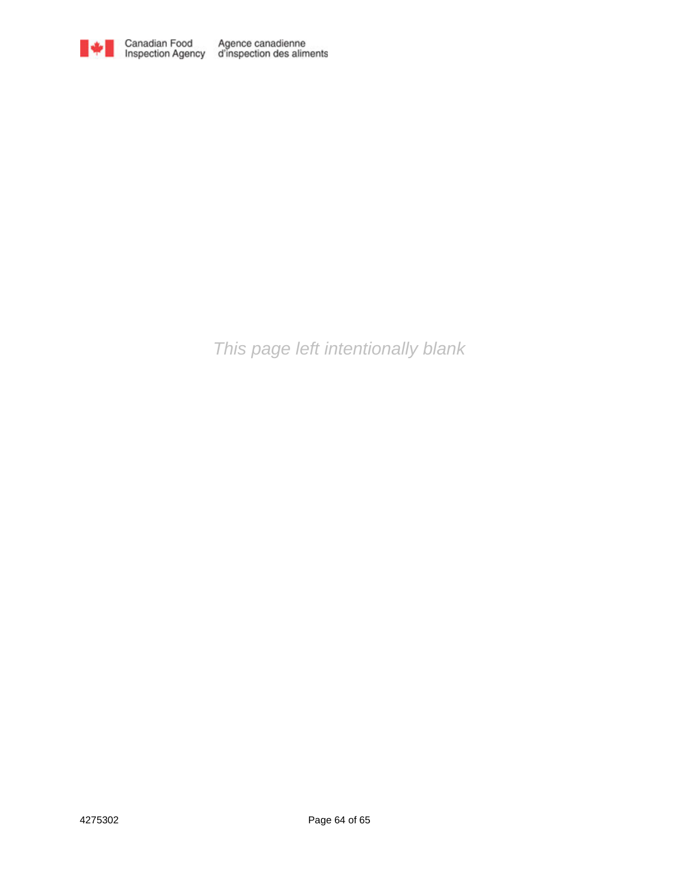

Canadian Food Agence canadienne<br>Inspection Agency d'inspection des aliments

*This page left intentionally blank*